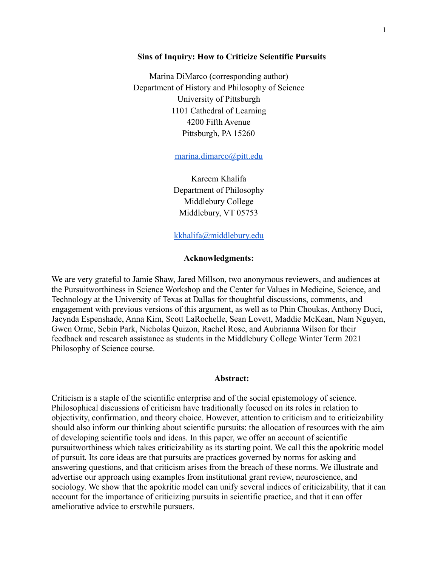### **Sins of Inquiry: How to Criticize Scientific Pursuits**

Marina DiMarco (corresponding author) Department of History and Philosophy of Science University of Pittsburgh 1101 Cathedral of Learning 4200 Fifth Avenue Pittsburgh, PA 15260

[marina.dimarco@pitt.edu](mailto:marina.dimarco@pitt.edu)

Kareem Khalifa Department of Philosophy Middlebury College Middlebury, VT 05753

[kkhalifa@middlebury.edu](mailto:kkhalifa@middlebury.edu)

### **Acknowledgments:**

We are very grateful to Jamie Shaw, Jared Millson, two anonymous reviewers, and audiences at the Pursuitworthiness in Science Workshop and the Center for Values in Medicine, Science, and Technology at the University of Texas at Dallas for thoughtful discussions, comments, and engagement with previous versions of this argument, as well as to Phin Choukas, Anthony Duci, Jacynda Espenshade, Anna Kim, Scott LaRochelle, Sean Lovett, Maddie McKean, Nam Nguyen, Gwen Orme, Sebin Park, Nicholas Quizon, Rachel Rose, and Aubrianna Wilson for their feedback and research assistance as students in the Middlebury College Winter Term 2021 Philosophy of Science course.

### **Abstract:**

Criticism is a staple of the scientific enterprise and of the social epistemology of science. Philosophical discussions of criticism have traditionally focused on its roles in relation to objectivity, confirmation, and theory choice. However, attention to criticism and to criticizability should also inform our thinking about scientific pursuits: the allocation of resources with the aim of developing scientific tools and ideas. In this paper, we offer an account of scientific pursuitworthiness which takes criticizability as its starting point. We call this the apokritic model of pursuit. Its core ideas are that pursuits are practices governed by norms for asking and answering questions, and that criticism arises from the breach of these norms. We illustrate and advertise our approach using examples from institutional grant review, neuroscience, and sociology. We show that the apokritic model can unify several indices of criticizability, that it can account for the importance of criticizing pursuits in scientific practice, and that it can offer ameliorative advice to erstwhile pursuers.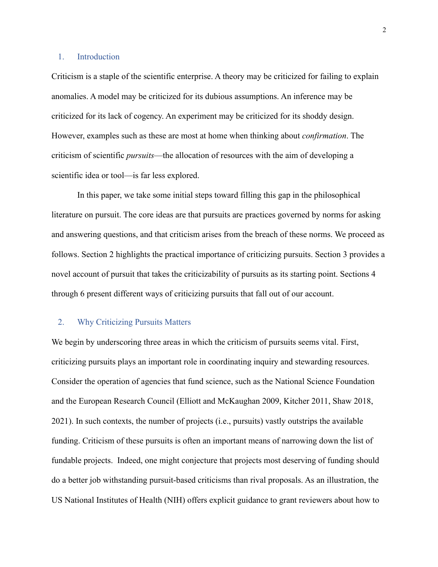### 1. Introduction

Criticism is a staple of the scientific enterprise. A theory may be criticized for failing to explain anomalies. A model may be criticized for its dubious assumptions. An inference may be criticized for its lack of cogency. An experiment may be criticized for its shoddy design. However, examples such as these are most at home when thinking about *confirmation*. The criticism of scientific *pursuits*—the allocation of resources with the aim of developing a scientific idea or tool—is far less explored.

In this paper, we take some initial steps toward filling this gap in the philosophical literature on pursuit. The core ideas are that pursuits are practices governed by norms for asking and answering questions, and that criticism arises from the breach of these norms. We proceed as follows. Section 2 highlights the practical importance of criticizing pursuits. Section 3 provides a novel account of pursuit that takes the criticizability of pursuits as its starting point. Sections 4 through 6 present different ways of criticizing pursuits that fall out of our account.

### 2. Why Criticizing Pursuits Matters

We begin by underscoring three areas in which the criticism of pursuits seems vital. First, criticizing pursuits plays an important role in coordinating inquiry and stewarding resources. Consider the operation of agencies that fund science, such as the National Science Foundation and the European Research Council (Elliott and McKaughan 2009, Kitcher 2011, Shaw 2018, 2021). In such contexts, the number of projects (i.e., pursuits) vastly outstrips the available funding. Criticism of these pursuits is often an important means of narrowing down the list of fundable projects. Indeed, one might conjecture that projects most deserving of funding should do a better job withstanding pursuit-based criticisms than rival proposals. As an illustration, the US National Institutes of Health (NIH) offers explicit guidance to grant reviewers about how to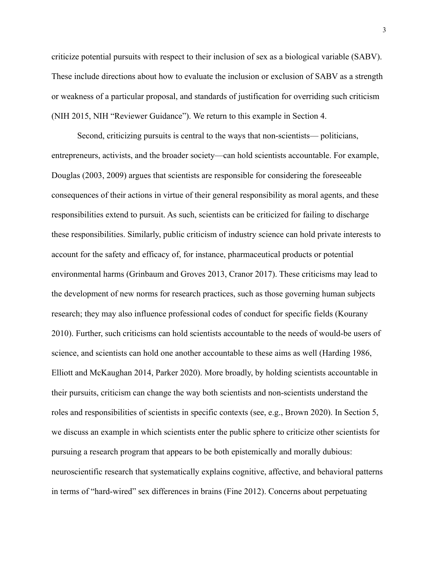criticize potential pursuits with respect to their inclusion of sex as a biological variable (SABV). These include directions about how to evaluate the inclusion or exclusion of SABV as a strength or weakness of a particular proposal, and standards of justification for overriding such criticism (NIH 2015, NIH "Reviewer Guidance"). We return to this example in Section 4.

Second, criticizing pursuits is central to the ways that non-scientists— politicians, entrepreneurs, activists, and the broader society—can hold scientists accountable. For example, Douglas (2003, 2009) argues that scientists are responsible for considering the foreseeable consequences of their actions in virtue of their general responsibility as moral agents, and these responsibilities extend to pursuit. As such, scientists can be criticized for failing to discharge these responsibilities. Similarly, public criticism of industry science can hold private interests to account for the safety and efficacy of, for instance, pharmaceutical products or potential environmental harms (Grinbaum and Groves 2013, Cranor 2017). These criticisms may lead to the development of new norms for research practices, such as those governing human subjects research; they may also influence professional codes of conduct for specific fields (Kourany 2010). Further, such criticisms can hold scientists accountable to the needs of would-be users of science, and scientists can hold one another accountable to these aims as well (Harding 1986, Elliott and McKaughan 2014, Parker 2020). More broadly, by holding scientists accountable in their pursuits, criticism can change the way both scientists and non-scientists understand the roles and responsibilities of scientists in specific contexts (see, e.g., Brown 2020). In Section 5, we discuss an example in which scientists enter the public sphere to criticize other scientists for pursuing a research program that appears to be both epistemically and morally dubious: neuroscientific research that systematically explains cognitive, affective, and behavioral patterns in terms of "hard-wired" sex differences in brains (Fine 2012). Concerns about perpetuating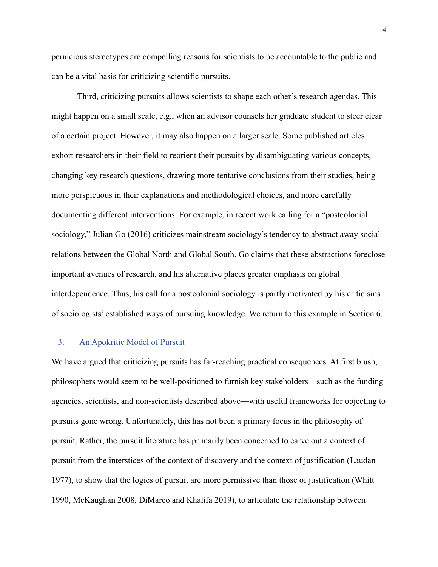pernicious stereotypes are compelling reasons for scientists to be accountable to the public and can be a vital basis for criticizing scientific pursuits.

Third, criticizing pursuits allows scientists to shape each other's research agendas. This might happen on a small scale, e.g., when an advisor counsels her graduate student to steer clear of a certain project. However, it may also happen on a larger scale. Some published articles exhort researchers in their field to reorient their pursuits by disambiguating various concepts, changing key research questions, drawing more tentative conclusions from their studies, being more perspicuous in their explanations and methodological choices, and more carefully documenting different interventions. For example, in recent work calling for a "postcolonial sociology," Julian Go (2016) criticizes mainstream sociology's tendency to abstract away social relations between the Global North and Global South. Go claims that these abstractions foreclose important avenues of research, and his alternative places greater emphasis on global interdependence. Thus, his call for a postcolonial sociology is partly motivated by his criticisms of sociologists' established ways of pursuing knowledge. We return to this example in Section 6.

## 3. An Apokritic Model of Pursuit

We have argued that criticizing pursuits has far-reaching practical consequences. At first blush, philosophers would seem to be well-positioned to furnish key stakeholders—such as the funding agencies, scientists, and non-scientists described above—with useful frameworks for objecting to pursuits gone wrong. Unfortunately, this has not been a primary focus in the philosophy of pursuit. Rather, the pursuit literature has primarily been concerned to carve out a context of pursuit from the interstices of the context of discovery and the context of justification (Laudan 1977), to show that the logics of pursuit are more permissive than those of justification (Whitt 1990, McKaughan 2008, DiMarco and Khalifa 2019), to articulate the relationship between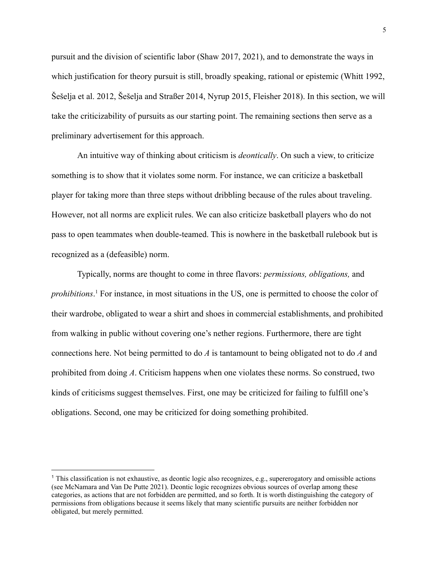pursuit and the division of scientific labor (Shaw 2017, 2021), and to demonstrate the ways in which justification for theory pursuit is still, broadly speaking, rational or epistemic (Whitt 1992, Šešelja et al. 2012, Šešelja and Straßer 2014, Nyrup 2015, Fleisher 2018). In this section, we will take the criticizability of pursuits as our starting point. The remaining sections then serve as a preliminary advertisement for this approach.

An intuitive way of thinking about criticism is *deontically*. On such a view, to criticize something is to show that it violates some norm. For instance, we can criticize a basketball player for taking more than three steps without dribbling because of the rules about traveling. However, not all norms are explicit rules. We can also criticize basketball players who do not pass to open teammates when double-teamed. This is nowhere in the basketball rulebook but is recognized as a (defeasible) norm.

Typically, norms are thought to come in three flavors: *permissions, obligations,* and *prohibitions*. <sup>1</sup> For instance, in most situations in the US, one is permitted to choose the color of their wardrobe, obligated to wear a shirt and shoes in commercial establishments, and prohibited from walking in public without covering one's nether regions. Furthermore, there are tight connections here. Not being permitted to do *A* is tantamount to being obligated not to do *A* and prohibited from doing *A*. Criticism happens when one violates these norms. So construed, two kinds of criticisms suggest themselves. First, one may be criticized for failing to fulfill one's obligations. Second, one may be criticized for doing something prohibited.

<sup>1</sup> This classification is not exhaustive, as deontic logic also recognizes, e.g., supererogatory and omissible actions (see McNamara and Van De Putte 2021). Deontic logic recognizes obvious sources of overlap among these categories, as actions that are not forbidden are permitted, and so forth. It is worth distinguishing the category of permissions from obligations because it seems likely that many scientific pursuits are neither forbidden nor obligated, but merely permitted.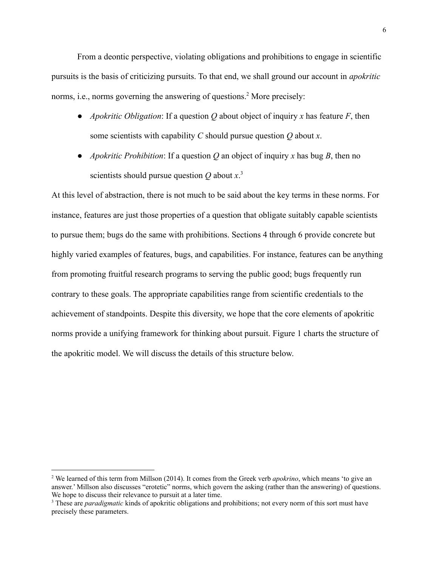From a deontic perspective, violating obligations and prohibitions to engage in scientific pursuits is the basis of criticizing pursuits. To that end, we shall ground our account in *apokritic* norms, i.e., norms governing the answering of questions.<sup>2</sup> More precisely:

- *Apokritic Obligation*: If a question *Q* about object of inquiry *x* has feature *F*, then some scientists with capability *C* should pursue question *Q* about *x*.
- *Apokritic Prohibition*: If a question Q an object of inquiry x has bug B, then no scientists should pursue question *Q* about *x*. 3

At this level of abstraction, there is not much to be said about the key terms in these norms. For instance, features are just those properties of a question that obligate suitably capable scientists to pursue them; bugs do the same with prohibitions. Sections 4 through 6 provide concrete but highly varied examples of features, bugs, and capabilities. For instance, features can be anything from promoting fruitful research programs to serving the public good; bugs frequently run contrary to these goals. The appropriate capabilities range from scientific credentials to the achievement of standpoints. Despite this diversity, we hope that the core elements of apokritic norms provide a unifying framework for thinking about pursuit. Figure 1 charts the structure of the apokritic model. We will discuss the details of this structure below.

<sup>2</sup> We learned of this term from Millson (2014). It comes from the Greek verb *apokrino*, which means 'to give an answer.' Millson also discusses "erotetic" norms, which govern the asking (rather than the answering) of questions. We hope to discuss their relevance to pursuit at a later time.

<sup>3</sup> These are *paradigmatic* kinds of apokritic obligations and prohibitions; not every norm of this sort must have precisely these parameters.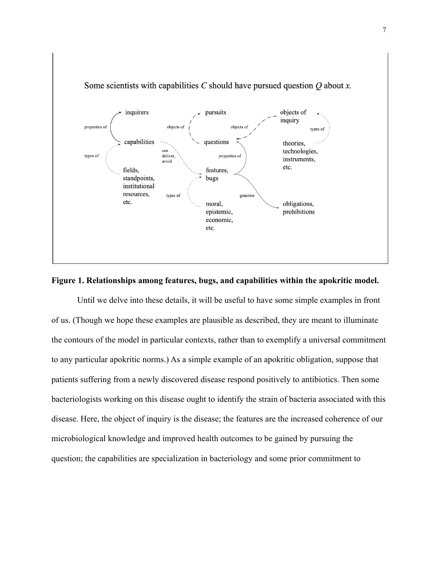

# **Figure 1. Relationships among features, bugs, and capabilities within the apokritic model.**

Until we delve into these details, it will be useful to have some simple examples in front of us. (Though we hope these examples are plausible as described, they are meant to illuminate the contours of the model in particular contexts, rather than to exemplify a universal commitment to any particular apokritic norms.) As a simple example of an apokritic obligation, suppose that patients suffering from a newly discovered disease respond positively to antibiotics. Then some bacteriologists working on this disease ought to identify the strain of bacteria associated with this disease. Here, the object of inquiry is the disease; the features are the increased coherence of our microbiological knowledge and improved health outcomes to be gained by pursuing the question; the capabilities are specialization in bacteriology and some prior commitment to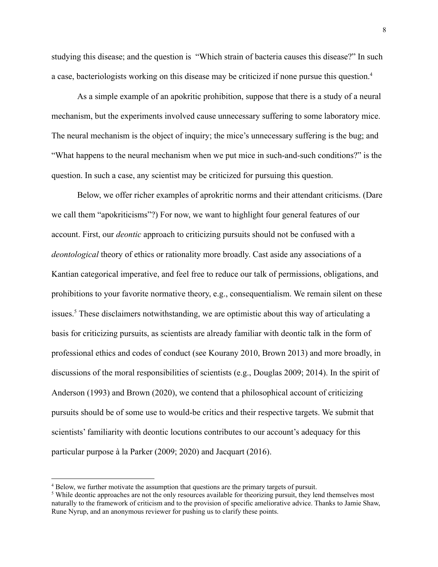studying this disease; and the question is "Which strain of bacteria causes this disease?" In such a case, bacteriologists working on this disease may be criticized if none pursue this question.<sup>4</sup>

As a simple example of an apokritic prohibition, suppose that there is a study of a neural mechanism, but the experiments involved cause unnecessary suffering to some laboratory mice. The neural mechanism is the object of inquiry; the mice's unnecessary suffering is the bug; and "What happens to the neural mechanism when we put mice in such-and-such conditions?" is the question. In such a case, any scientist may be criticized for pursuing this question.

Below, we offer richer examples of aprokritic norms and their attendant criticisms. (Dare we call them "apokriticisms"?) For now, we want to highlight four general features of our account. First, our *deontic* approach to criticizing pursuits should not be confused with a *deontological* theory of ethics or rationality more broadly. Cast aside any associations of a Kantian categorical imperative, and feel free to reduce our talk of permissions, obligations, and prohibitions to your favorite normative theory, e.g., consequentialism. We remain silent on these issues.<sup>5</sup> These disclaimers notwithstanding, we are optimistic about this way of articulating a basis for criticizing pursuits, as scientists are already familiar with deontic talk in the form of professional ethics and codes of conduct (see Kourany 2010, Brown 2013) and more broadly, in discussions of the moral responsibilities of scientists (e.g., Douglas 2009; 2014). In the spirit of Anderson (1993) and Brown (2020), we contend that a philosophical account of criticizing pursuits should be of some use to would-be critics and their respective targets. We submit that scientists' familiarity with deontic locutions contributes to our account's adequacy for this particular purpose à la Parker (2009; 2020) and Jacquart (2016).

<sup>&</sup>lt;sup>4</sup> Below, we further motivate the assumption that questions are the primary targets of pursuit.

<sup>&</sup>lt;sup>5</sup> While deontic approaches are not the only resources available for theorizing pursuit, they lend themselves most naturally to the framework of criticism and to the provision of specific ameliorative advice. Thanks to Jamie Shaw, Rune Nyrup, and an anonymous reviewer for pushing us to clarify these points.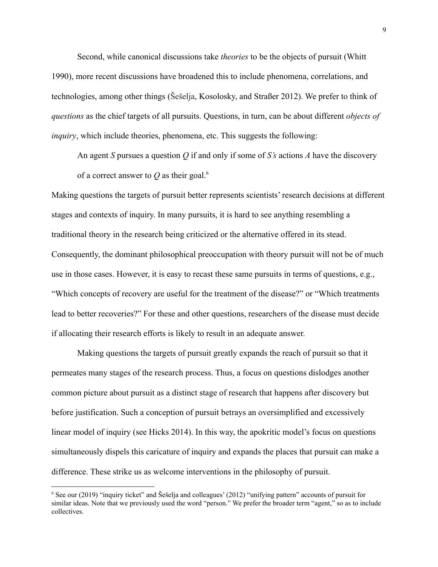Second, while canonical discussions take *theories* to be the objects of pursuit (Whitt 1990), more recent discussions have broadened this to include phenomena, correlations, and technologies, among other things (Šešelja, Kosolosky, and Straßer 2012). We prefer to think of *questions* as the chief targets of all pursuits. Questions, in turn, can be about different *objects of inquiry*, which include theories, phenomena, etc. This suggests the following:

An agent *S* pursues a question *Q* if and only if some of *S's* actions *A* have the discovery of a correct answer to  $Q$  as their goal.<sup>6</sup>

Making questions the targets of pursuit better represents scientists' research decisions at different stages and contexts of inquiry. In many pursuits, it is hard to see anything resembling a traditional theory in the research being criticized or the alternative offered in its stead. Consequently, the dominant philosophical preoccupation with theory pursuit will not be of much use in those cases. However, it is easy to recast these same pursuits in terms of questions, e.g., "Which concepts of recovery are useful for the treatment of the disease?" or "Which treatments lead to better recoveries?" For these and other questions, researchers of the disease must decide if allocating their research efforts is likely to result in an adequate answer.

Making questions the targets of pursuit greatly expands the reach of pursuit so that it permeates many stages of the research process. Thus, a focus on questions dislodges another common picture about pursuit as a distinct stage of research that happens after discovery but before justification. Such a conception of pursuit betrays an oversimplified and excessively linear model of inquiry (see Hicks 2014). In this way, the apokritic model's focus on questions simultaneously dispels this caricature of inquiry and expands the places that pursuit can make a difference. These strike us as welcome interventions in the philosophy of pursuit.

<sup>6</sup> See our (2019) "inquiry ticket" and Šešelja and colleagues' (2012) "unifying pattern" accounts of pursuit for similar ideas. Note that we previously used the word "person." We prefer the broader term "agent," so as to include collectives.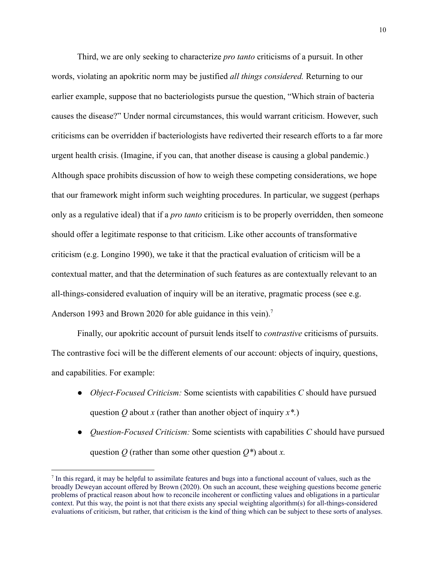Third, we are only seeking to characterize *pro tanto* criticisms of a pursuit. In other words, violating an apokritic norm may be justified *all things considered.* Returning to our earlier example, suppose that no bacteriologists pursue the question, "Which strain of bacteria causes the disease?" Under normal circumstances, this would warrant criticism. However, such criticisms can be overridden if bacteriologists have rediverted their research efforts to a far more urgent health crisis. (Imagine, if you can, that another disease is causing a global pandemic.) Although space prohibits discussion of how to weigh these competing considerations, we hope that our framework might inform such weighting procedures. In particular, we suggest (perhaps only as a regulative ideal) that if a *pro tanto* criticism is to be properly overridden, then someone should offer a legitimate response to that criticism. Like other accounts of transformative criticism (e.g. Longino 1990), we take it that the practical evaluation of criticism will be a contextual matter, and that the determination of such features as are contextually relevant to an all-things-considered evaluation of inquiry will be an iterative, pragmatic process (see e.g. Anderson 1993 and Brown 2020 for able guidance in this vein).<sup>7</sup>

Finally, our apokritic account of pursuit lends itself to *contrastive* criticisms of pursuits. The contrastive foci will be the different elements of our account: objects of inquiry, questions, and capabilities. For example:

- *Object-Focused Criticism:* Some scientists with capabilities *C* should have pursued question *Q* about *x* (rather than another object of inquiry *x\*.*)
- *Question-Focused Criticism:* Some scientists with capabilities *C* should have pursued question *Q* (rather than some other question *Q\**) about *x.*

In this regard, it may be helpful to assimilate features and bugs into a functional account of values, such as the broadly Deweyan account offered by Brown (2020). On such an account, these weighing questions become generic problems of practical reason about how to reconcile incoherent or conflicting values and obligations in a particular context. Put this way, the point is not that there exists any special weighting algorithm(s) for all-things-considered evaluations of criticism, but rather, that criticism is the kind of thing which can be subject to these sorts of analyses.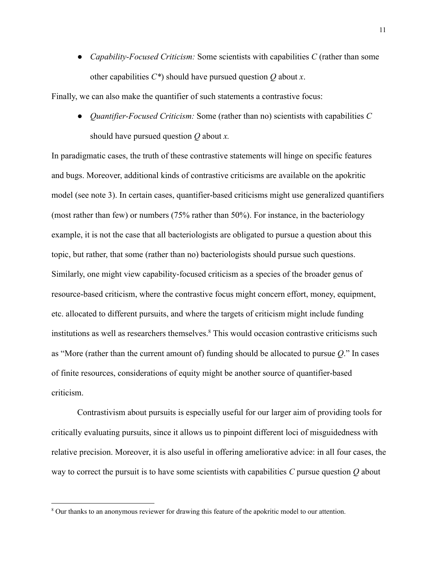• *Capability-Focused Criticism:* Some scientists with capabilities *C* (rather than some other capabilities *C\**) should have pursued question *Q* about *x*.

Finally, we can also make the quantifier of such statements a contrastive focus:

● *Quantifier-Focused Criticism:* Some (rather than no) scientists with capabilities *C* should have pursued question *Q* about *x.*

In paradigmatic cases, the truth of these contrastive statements will hinge on specific features and bugs. Moreover, additional kinds of contrastive criticisms are available on the apokritic model (see note 3). In certain cases, quantifier-based criticisms might use generalized quantifiers (most rather than few) or numbers (75% rather than 50%). For instance, in the bacteriology example, it is not the case that all bacteriologists are obligated to pursue a question about this topic, but rather, that some (rather than no) bacteriologists should pursue such questions. Similarly, one might view capability-focused criticism as a species of the broader genus of resource-based criticism, where the contrastive focus might concern effort, money, equipment, etc. allocated to different pursuits, and where the targets of criticism might include funding institutions as well as researchers themselves.<sup>8</sup> This would occasion contrastive criticisms such as "More (rather than the current amount of) funding should be allocated to pursue *Q*." In cases of finite resources, considerations of equity might be another source of quantifier-based criticism.

Contrastivism about pursuits is especially useful for our larger aim of providing tools for critically evaluating pursuits, since it allows us to pinpoint different loci of misguidedness with relative precision. Moreover, it is also useful in offering ameliorative advice: in all four cases, the way to correct the pursuit is to have some scientists with capabilities *C* pursue question *Q* about

<sup>8</sup> Our thanks to an anonymous reviewer for drawing this feature of the apokritic model to our attention.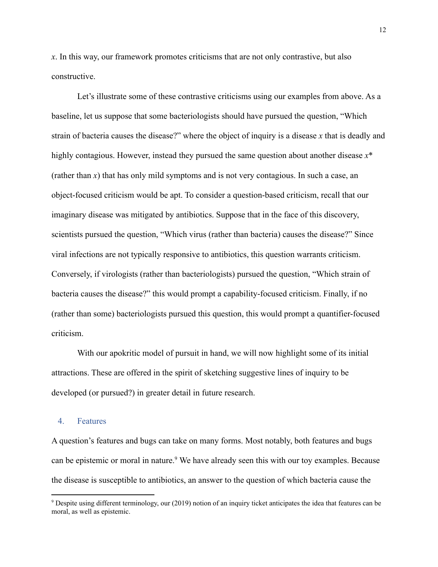*x*. In this way, our framework promotes criticisms that are not only contrastive, but also constructive.

Let's illustrate some of these contrastive criticisms using our examples from above. As a baseline, let us suppose that some bacteriologists should have pursued the question, "Which strain of bacteria causes the disease?" where the object of inquiry is a disease *x* that is deadly and highly contagious. However, instead they pursued the same question about another disease  $x^*$ (rather than *x*) that has only mild symptoms and is not very contagious. In such a case, an object-focused criticism would be apt. To consider a question-based criticism, recall that our imaginary disease was mitigated by antibiotics. Suppose that in the face of this discovery, scientists pursued the question, "Which virus (rather than bacteria) causes the disease?" Since viral infections are not typically responsive to antibiotics, this question warrants criticism. Conversely, if virologists (rather than bacteriologists) pursued the question, "Which strain of bacteria causes the disease?" this would prompt a capability-focused criticism. Finally, if no (rather than some) bacteriologists pursued this question, this would prompt a quantifier-focused criticism.

With our apokritic model of pursuit in hand, we will now highlight some of its initial attractions. These are offered in the spirit of sketching suggestive lines of inquiry to be developed (or pursued?) in greater detail in future research.

### 4. Features

A question's features and bugs can take on many forms. Most notably, both features and bugs can be epistemic or moral in nature.<sup>9</sup> We have already seen this with our toy examples. Because the disease is susceptible to antibiotics, an answer to the question of which bacteria cause the

<sup>&</sup>lt;sup>9</sup> Despite using different terminology, our (2019) notion of an inquiry ticket anticipates the idea that features can be moral, as well as epistemic.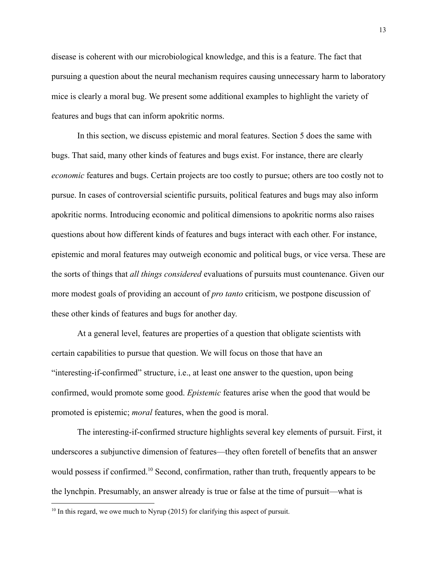disease is coherent with our microbiological knowledge, and this is a feature. The fact that pursuing a question about the neural mechanism requires causing unnecessary harm to laboratory mice is clearly a moral bug. We present some additional examples to highlight the variety of features and bugs that can inform apokritic norms.

In this section, we discuss epistemic and moral features. Section 5 does the same with bugs. That said, many other kinds of features and bugs exist. For instance, there are clearly *economic* features and bugs. Certain projects are too costly to pursue; others are too costly not to pursue. In cases of controversial scientific pursuits, political features and bugs may also inform apokritic norms. Introducing economic and political dimensions to apokritic norms also raises questions about how different kinds of features and bugs interact with each other. For instance, epistemic and moral features may outweigh economic and political bugs, or vice versa. These are the sorts of things that *all things considered* evaluations of pursuits must countenance. Given our more modest goals of providing an account of *pro tanto* criticism, we postpone discussion of these other kinds of features and bugs for another day.

At a general level, features are properties of a question that obligate scientists with certain capabilities to pursue that question. We will focus on those that have an "interesting-if-confirmed" structure, i.e., at least one answer to the question, upon being confirmed, would promote some good. *Epistemic* features arise when the good that would be promoted is epistemic; *moral* features, when the good is moral.

The interesting-if-confirmed structure highlights several key elements of pursuit. First, it underscores a subjunctive dimension of features—they often foretell of benefits that an answer would possess if confirmed.<sup>10</sup> Second, confirmation, rather than truth, frequently appears to be the lynchpin. Presumably, an answer already is true or false at the time of pursuit—what is

<sup>&</sup>lt;sup>10</sup> In this regard, we owe much to Nyrup (2015) for clarifying this aspect of pursuit.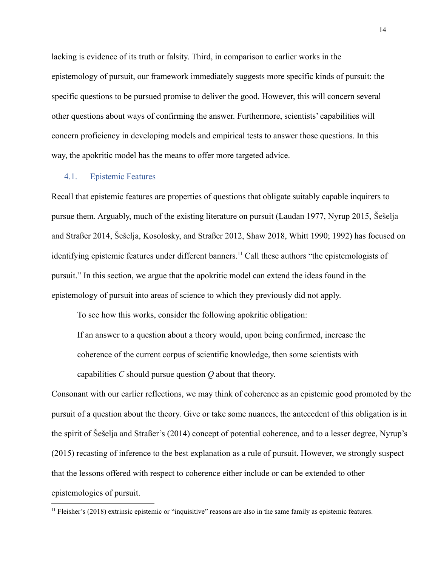lacking is evidence of its truth or falsity. Third, in comparison to earlier works in the epistemology of pursuit, our framework immediately suggests more specific kinds of pursuit: the specific questions to be pursued promise to deliver the good. However, this will concern several other questions about ways of confirming the answer. Furthermore, scientists' capabilities will concern proficiency in developing models and empirical tests to answer those questions. In this way, the apokritic model has the means to offer more targeted advice.

### 4.1. Epistemic Features

Recall that epistemic features are properties of questions that obligate suitably capable inquirers to pursue them. Arguably, much of the existing literature on pursuit (Laudan 1977, Nyrup 2015, Šešelja and Straßer 2014, Šešelja, Kosolosky, and Straßer 2012, Shaw 2018, Whitt 1990; 1992) has focused on identifying epistemic features under different banners.<sup>11</sup> Call these authors "the epistemologists of pursuit." In this section, we argue that the apokritic model can extend the ideas found in the epistemology of pursuit into areas of science to which they previously did not apply.

To see how this works, consider the following apokritic obligation:

If an answer to a question about a theory would, upon being confirmed, increase the

coherence of the current corpus of scientific knowledge, then some scientists with

capabilities *C* should pursue question *Q* about that theory.

Consonant with our earlier reflections, we may think of coherence as an epistemic good promoted by the pursuit of a question about the theory. Give or take some nuances, the antecedent of this obligation is in the spirit of Šešelja and Straßer's (2014) concept of potential coherence, and to a lesser degree, Nyrup's (2015) recasting of inference to the best explanation as a rule of pursuit. However, we strongly suspect that the lessons offered with respect to coherence either include or can be extended to other epistemologies of pursuit.

 $<sup>11</sup>$  Fleisher's (2018) extrinsic epistemic or "inquisitive" reasons are also in the same family as epistemic features.</sup>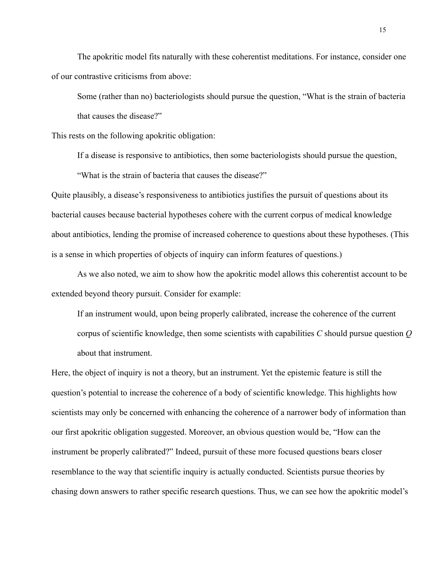The apokritic model fits naturally with these coherentist meditations. For instance, consider one of our contrastive criticisms from above:

Some (rather than no) bacteriologists should pursue the question, "What is the strain of bacteria that causes the disease?"

This rests on the following apokritic obligation:

If a disease is responsive to antibiotics, then some bacteriologists should pursue the question,

"What is the strain of bacteria that causes the disease?"

Quite plausibly, a disease's responsiveness to antibiotics justifies the pursuit of questions about its bacterial causes because bacterial hypotheses cohere with the current corpus of medical knowledge about antibiotics, lending the promise of increased coherence to questions about these hypotheses. (This is a sense in which properties of objects of inquiry can inform features of questions.)

As we also noted, we aim to show how the apokritic model allows this coherentist account to be extended beyond theory pursuit. Consider for example:

If an instrument would, upon being properly calibrated, increase the coherence of the current corpus of scientific knowledge, then some scientists with capabilities *C* should pursue question *Q* about that instrument.

Here, the object of inquiry is not a theory, but an instrument. Yet the epistemic feature is still the question's potential to increase the coherence of a body of scientific knowledge. This highlights how scientists may only be concerned with enhancing the coherence of a narrower body of information than our first apokritic obligation suggested. Moreover, an obvious question would be, "How can the instrument be properly calibrated?" Indeed, pursuit of these more focused questions bears closer resemblance to the way that scientific inquiry is actually conducted. Scientists pursue theories by chasing down answers to rather specific research questions. Thus, we can see how the apokritic model's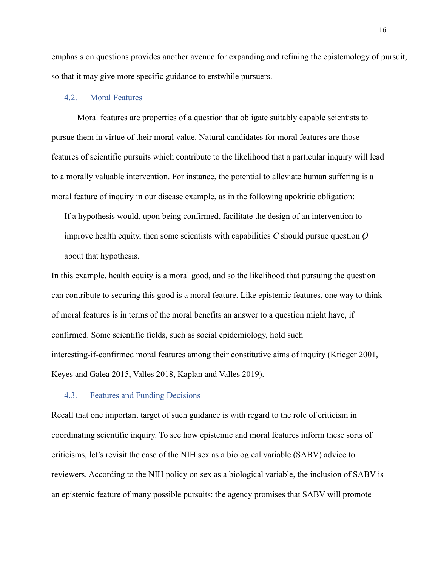emphasis on questions provides another avenue for expanding and refining the epistemology of pursuit, so that it may give more specific guidance to erstwhile pursuers.

## 4.2. Moral Features

Moral features are properties of a question that obligate suitably capable scientists to pursue them in virtue of their moral value. Natural candidates for moral features are those features of scientific pursuits which contribute to the likelihood that a particular inquiry will lead to a morally valuable intervention. For instance, the potential to alleviate human suffering is a moral feature of inquiry in our disease example, as in the following apokritic obligation:

If a hypothesis would, upon being confirmed, facilitate the design of an intervention to improve health equity, then some scientists with capabilities *C* should pursue question *Q* about that hypothesis.

In this example, health equity is a moral good, and so the likelihood that pursuing the question can contribute to securing this good is a moral feature. Like epistemic features, one way to think of moral features is in terms of the moral benefits an answer to a question might have, if confirmed. Some scientific fields, such as social epidemiology, hold such interesting-if-confirmed moral features among their constitutive aims of inquiry (Krieger 2001, Keyes and Galea 2015, Valles 2018, Kaplan and Valles 2019).

#### 4.3. Features and Funding Decisions

Recall that one important target of such guidance is with regard to the role of criticism in coordinating scientific inquiry. To see how epistemic and moral features inform these sorts of criticisms, let's revisit the case of the NIH sex as a biological variable (SABV) advice to reviewers. According to the NIH policy on sex as a biological variable, the inclusion of SABV is an epistemic feature of many possible pursuits: the agency promises that SABV will promote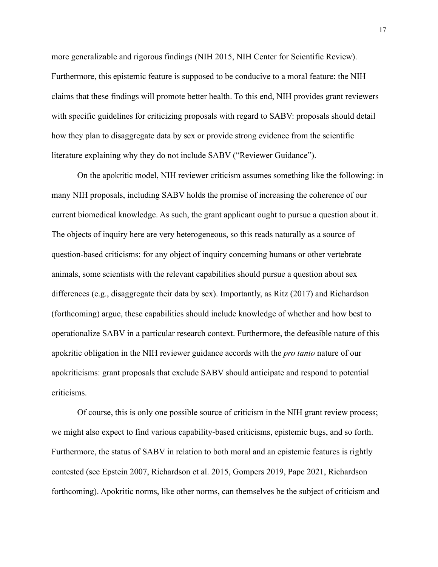more generalizable and rigorous findings (NIH 2015, NIH Center for Scientific Review). Furthermore, this epistemic feature is supposed to be conducive to a moral feature: the NIH claims that these findings will promote better health. To this end, NIH provides grant reviewers with specific guidelines for criticizing proposals with regard to SABV: proposals should detail how they plan to disaggregate data by sex or provide strong evidence from the scientific literature explaining why they do not include SABV ("Reviewer Guidance").

On the apokritic model, NIH reviewer criticism assumes something like the following: in many NIH proposals, including SABV holds the promise of increasing the coherence of our current biomedical knowledge. As such, the grant applicant ought to pursue a question about it. The objects of inquiry here are very heterogeneous, so this reads naturally as a source of question-based criticisms: for any object of inquiry concerning humans or other vertebrate animals, some scientists with the relevant capabilities should pursue a question about sex differences (e.g., disaggregate their data by sex). Importantly, as Ritz (2017) and Richardson (forthcoming) argue, these capabilities should include knowledge of whether and how best to operationalize SABV in a particular research context. Furthermore, the defeasible nature of this apokritic obligation in the NIH reviewer guidance accords with the *pro tanto* nature of our apokriticisms: grant proposals that exclude SABV should anticipate and respond to potential criticisms.

Of course, this is only one possible source of criticism in the NIH grant review process; we might also expect to find various capability-based criticisms, epistemic bugs, and so forth. Furthermore, the status of SABV in relation to both moral and an epistemic features is rightly contested (see Epstein 2007, Richardson et al. 2015, Gompers 2019, Pape 2021, Richardson forthcoming). Apokritic norms, like other norms, can themselves be the subject of criticism and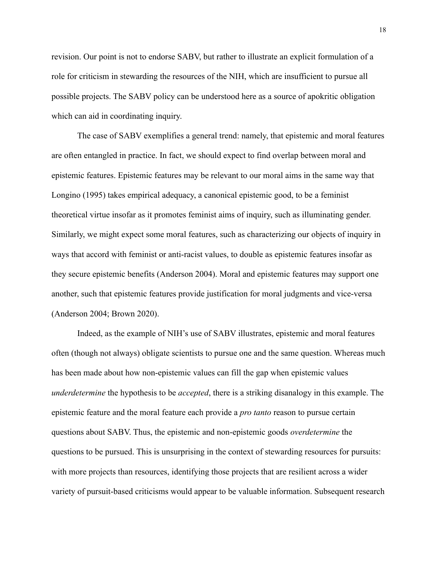revision. Our point is not to endorse SABV, but rather to illustrate an explicit formulation of a role for criticism in stewarding the resources of the NIH, which are insufficient to pursue all possible projects. The SABV policy can be understood here as a source of apokritic obligation which can aid in coordinating inquiry.

The case of SABV exemplifies a general trend: namely, that epistemic and moral features are often entangled in practice. In fact, we should expect to find overlap between moral and epistemic features. Epistemic features may be relevant to our moral aims in the same way that Longino (1995) takes empirical adequacy, a canonical epistemic good, to be a feminist theoretical virtue insofar as it promotes feminist aims of inquiry, such as illuminating gender. Similarly, we might expect some moral features, such as characterizing our objects of inquiry in ways that accord with feminist or anti-racist values, to double as epistemic features insofar as they secure epistemic benefits (Anderson 2004). Moral and epistemic features may support one another, such that epistemic features provide justification for moral judgments and vice-versa (Anderson 2004; Brown 2020).

Indeed, as the example of NIH's use of SABV illustrates, epistemic and moral features often (though not always) obligate scientists to pursue one and the same question. Whereas much has been made about how non-epistemic values can fill the gap when epistemic values *underdetermine* the hypothesis to be *accepted*, there is a striking disanalogy in this example. The epistemic feature and the moral feature each provide a *pro tanto* reason to pursue certain questions about SABV. Thus, the epistemic and non-epistemic goods *overdetermine* the questions to be pursued. This is unsurprising in the context of stewarding resources for pursuits: with more projects than resources, identifying those projects that are resilient across a wider variety of pursuit-based criticisms would appear to be valuable information. Subsequent research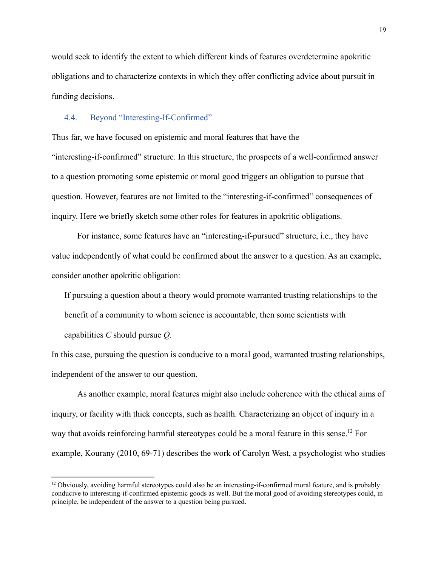would seek to identify the extent to which different kinds of features overdetermine apokritic obligations and to characterize contexts in which they offer conflicting advice about pursuit in funding decisions.

### 4.4. Beyond "Interesting-If-Confirmed"

Thus far, we have focused on epistemic and moral features that have the "interesting-if-confirmed" structure. In this structure, the prospects of a well-confirmed answer to a question promoting some epistemic or moral good triggers an obligation to pursue that question. However, features are not limited to the "interesting-if-confirmed" consequences of inquiry. Here we briefly sketch some other roles for features in apokritic obligations.

For instance, some features have an "interesting-if-pursued" structure, i.e., they have value independently of what could be confirmed about the answer to a question. As an example, consider another apokritic obligation:

If pursuing a question about a theory would promote warranted trusting relationships to the benefit of a community to whom science is accountable, then some scientists with capabilities *C* should pursue *Q*.

In this case, pursuing the question is conducive to a moral good, warranted trusting relationships, independent of the answer to our question.

As another example, moral features might also include coherence with the ethical aims of inquiry, or facility with thick concepts, such as health. Characterizing an object of inquiry in a way that avoids reinforcing harmful stereotypes could be a moral feature in this sense.<sup>12</sup> For example, Kourany (2010, 69-71) describes the work of Carolyn West, a psychologist who studies

 $12$  Obviously, avoiding harmful stereotypes could also be an interesting-if-confirmed moral feature, and is probably conducive to interesting-if-confirmed epistemic goods as well. But the moral good of avoiding stereotypes could, in principle, be independent of the answer to a question being pursued.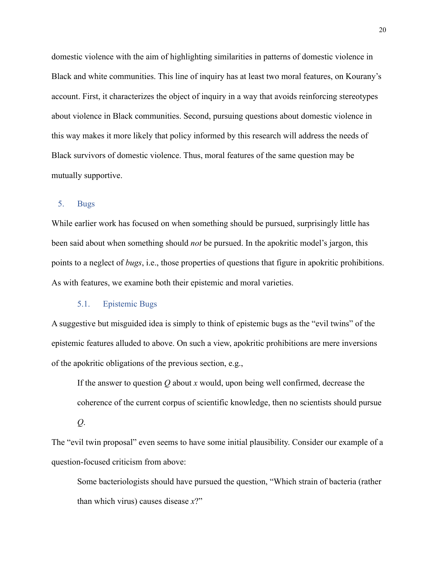domestic violence with the aim of highlighting similarities in patterns of domestic violence in Black and white communities. This line of inquiry has at least two moral features, on Kourany's account. First, it characterizes the object of inquiry in a way that avoids reinforcing stereotypes about violence in Black communities. Second, pursuing questions about domestic violence in this way makes it more likely that policy informed by this research will address the needs of Black survivors of domestic violence. Thus, moral features of the same question may be mutually supportive.

# 5. Bugs

While earlier work has focused on when something should be pursued, surprisingly little has been said about when something should *not* be pursued. In the apokritic model's jargon, this points to a neglect of *bugs*, i.e., those properties of questions that figure in apokritic prohibitions. As with features, we examine both their epistemic and moral varieties.

# 5.1. Epistemic Bugs

A suggestive but misguided idea is simply to think of epistemic bugs as the "evil twins" of the epistemic features alluded to above. On such a view, apokritic prohibitions are mere inversions of the apokritic obligations of the previous section, e.g.,

If the answer to question *Q* about *x* would, upon being well confirmed, decrease the coherence of the current corpus of scientific knowledge, then no scientists should pursue

*Q*.

The "evil twin proposal" even seems to have some initial plausibility. Consider our example of a question-focused criticism from above:

Some bacteriologists should have pursued the question, "Which strain of bacteria (rather than which virus) causes disease *x*?"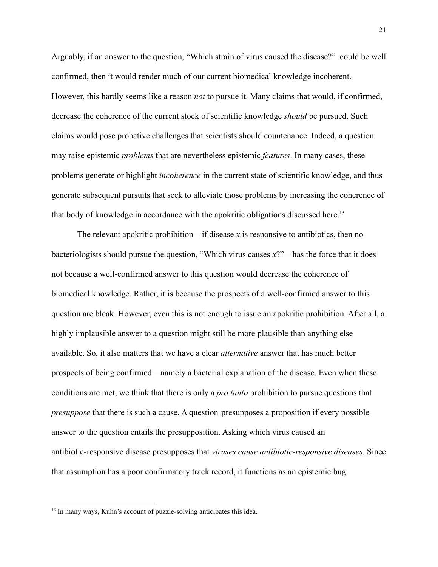Arguably, if an answer to the question, "Which strain of virus caused the disease?" could be well confirmed, then it would render much of our current biomedical knowledge incoherent. However, this hardly seems like a reason *not* to pursue it. Many claims that would, if confirmed, decrease the coherence of the current stock of scientific knowledge *should* be pursued. Such claims would pose probative challenges that scientists should countenance. Indeed, a question may raise epistemic *problems* that are nevertheless epistemic *features*. In many cases, these problems generate or highlight *incoherence* in the current state of scientific knowledge, and thus generate subsequent pursuits that seek to alleviate those problems by increasing the coherence of that body of knowledge in accordance with the apokritic obligations discussed here.<sup>13</sup>

The relevant apokritic prohibition—if disease *x* is responsive to antibiotics, then no bacteriologists should pursue the question, "Which virus causes *x*?"—has the force that it does not because a well-confirmed answer to this question would decrease the coherence of biomedical knowledge. Rather, it is because the prospects of a well-confirmed answer to this question are bleak. However, even this is not enough to issue an apokritic prohibition. After all, a highly implausible answer to a question might still be more plausible than anything else available. So, it also matters that we have a clear *alternative* answer that has much better prospects of being confirmed—namely a bacterial explanation of the disease. Even when these conditions are met, we think that there is only a *pro tanto* prohibition to pursue questions that *presuppose* that there is such a cause. A question presupposes a proposition if every possible answer to the question entails the presupposition. Asking which virus caused an antibiotic-responsive disease presupposes that *viruses cause antibiotic-responsive diseases*. Since that assumption has a poor confirmatory track record, it functions as an epistemic bug.

<sup>&</sup>lt;sup>13</sup> In many ways, Kuhn's account of puzzle-solving anticipates this idea.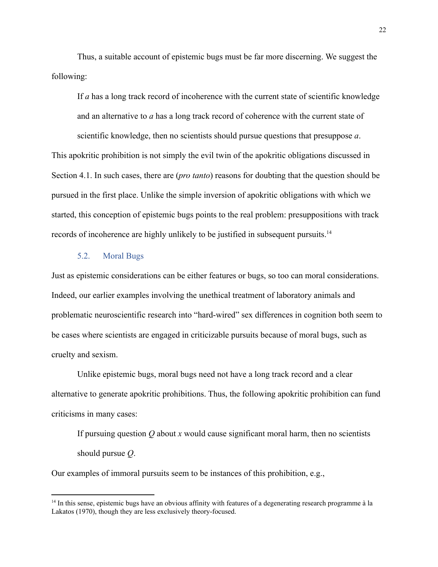Thus, a suitable account of epistemic bugs must be far more discerning. We suggest the following:

If *a* has a long track record of incoherence with the current state of scientific knowledge and an alternative to *a* has a long track record of coherence with the current state of scientific knowledge, then no scientists should pursue questions that presuppose *a*.

This apokritic prohibition is not simply the evil twin of the apokritic obligations discussed in Section 4.1. In such cases, there are (*pro tanto*) reasons for doubting that the question should be pursued in the first place. Unlike the simple inversion of apokritic obligations with which we started, this conception of epistemic bugs points to the real problem: presuppositions with track records of incoherence are highly unlikely to be justified in subsequent pursuits.<sup>14</sup>

# 5.2. Moral Bugs

Just as epistemic considerations can be either features or bugs, so too can moral considerations. Indeed, our earlier examples involving the unethical treatment of laboratory animals and problematic neuroscientific research into "hard-wired" sex differences in cognition both seem to be cases where scientists are engaged in criticizable pursuits because of moral bugs, such as cruelty and sexism.

Unlike epistemic bugs, moral bugs need not have a long track record and a clear alternative to generate apokritic prohibitions. Thus, the following apokritic prohibition can fund criticisms in many cases:

If pursuing question *Q* about *x* would cause significant moral harm, then no scientists should pursue *Q*.

Our examples of immoral pursuits seem to be instances of this prohibition, e.g.,

<sup>&</sup>lt;sup>14</sup> In this sense, epistemic bugs have an obvious affinity with features of a degenerating research programme à la Lakatos (1970), though they are less exclusively theory-focused.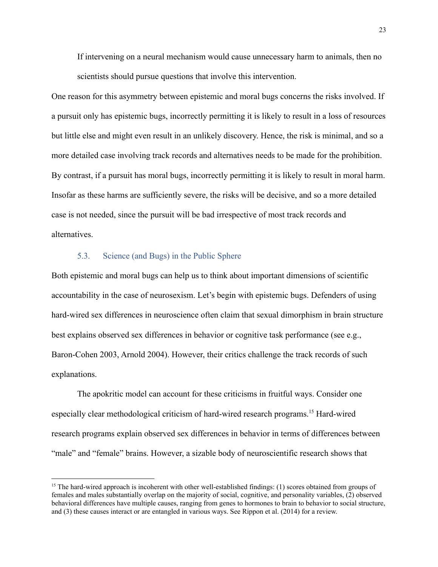If intervening on a neural mechanism would cause unnecessary harm to animals, then no scientists should pursue questions that involve this intervention.

One reason for this asymmetry between epistemic and moral bugs concerns the risks involved. If a pursuit only has epistemic bugs, incorrectly permitting it is likely to result in a loss of resources but little else and might even result in an unlikely discovery. Hence, the risk is minimal, and so a more detailed case involving track records and alternatives needs to be made for the prohibition. By contrast, if a pursuit has moral bugs, incorrectly permitting it is likely to result in moral harm. Insofar as these harms are sufficiently severe, the risks will be decisive, and so a more detailed case is not needed, since the pursuit will be bad irrespective of most track records and alternatives.

# 5.3. Science (and Bugs) in the Public Sphere

Both epistemic and moral bugs can help us to think about important dimensions of scientific accountability in the case of neurosexism. Let's begin with epistemic bugs. Defenders of using hard-wired sex differences in neuroscience often claim that sexual dimorphism in brain structure best explains observed sex differences in behavior or cognitive task performance (see e.g., Baron-Cohen 2003, Arnold 2004). However, their critics challenge the track records of such explanations.

The apokritic model can account for these criticisms in fruitful ways. Consider one especially clear methodological criticism of hard-wired research programs.<sup>15</sup> Hard-wired research programs explain observed sex differences in behavior in terms of differences between "male" and "female" brains. However, a sizable body of neuroscientific research shows that

<sup>&</sup>lt;sup>15</sup> The hard-wired approach is incoherent with other well-established findings: (1) scores obtained from groups of females and males substantially overlap on the majority of social, cognitive, and personality variables, (2) observed behavioral differences have multiple causes, ranging from genes to hormones to brain to behavior to social structure, and (3) these causes interact or are entangled in various ways. See Rippon et al. (2014) for a review.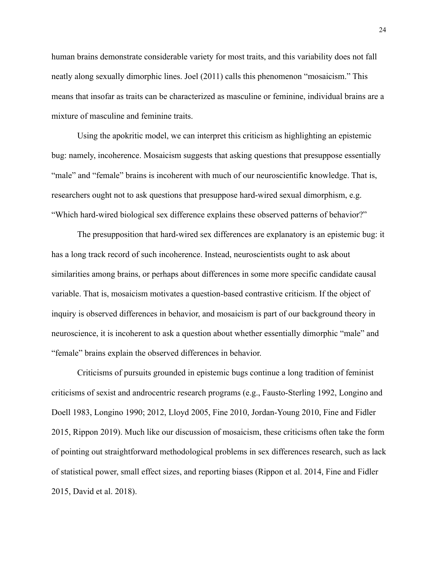human brains demonstrate considerable variety for most traits, and this variability does not fall neatly along sexually dimorphic lines. Joel (2011) calls this phenomenon "mosaicism." This means that insofar as traits can be characterized as masculine or feminine, individual brains are a mixture of masculine and feminine traits.

Using the apokritic model, we can interpret this criticism as highlighting an epistemic bug: namely, incoherence. Mosaicism suggests that asking questions that presuppose essentially "male" and "female" brains is incoherent with much of our neuroscientific knowledge. That is, researchers ought not to ask questions that presuppose hard-wired sexual dimorphism, e.g. "Which hard-wired biological sex difference explains these observed patterns of behavior?"

The presupposition that hard-wired sex differences are explanatory is an epistemic bug: it has a long track record of such incoherence. Instead, neuroscientists ought to ask about similarities among brains, or perhaps about differences in some more specific candidate causal variable. That is, mosaicism motivates a question-based contrastive criticism. If the object of inquiry is observed differences in behavior, and mosaicism is part of our background theory in neuroscience, it is incoherent to ask a question about whether essentially dimorphic "male" and "female" brains explain the observed differences in behavior.

Criticisms of pursuits grounded in epistemic bugs continue a long tradition of feminist criticisms of sexist and androcentric research programs (e.g., Fausto-Sterling 1992, Longino and Doell 1983, Longino 1990; 2012, Lloyd 2005, Fine 2010, Jordan-Young 2010, Fine and Fidler 2015, Rippon 2019). Much like our discussion of mosaicism, these criticisms often take the form of pointing out straightforward methodological problems in sex differences research, such as lack of statistical power, small effect sizes, and reporting biases (Rippon et al. 2014, Fine and Fidler 2015, David et al. 2018).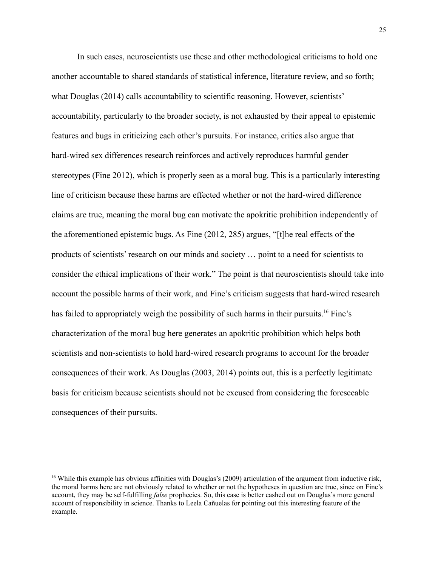In such cases, neuroscientists use these and other methodological criticisms to hold one another accountable to shared standards of statistical inference, literature review, and so forth; what Douglas (2014) calls accountability to scientific reasoning. However, scientists' accountability, particularly to the broader society, is not exhausted by their appeal to epistemic features and bugs in criticizing each other's pursuits. For instance, critics also argue that hard-wired sex differences research reinforces and actively reproduces harmful gender stereotypes (Fine 2012), which is properly seen as a moral bug. This is a particularly interesting line of criticism because these harms are effected whether or not the hard-wired difference claims are true, meaning the moral bug can motivate the apokritic prohibition independently of the aforementioned epistemic bugs. As Fine (2012, 285) argues, "[t]he real effects of the products of scientists' research on our minds and society … point to a need for scientists to consider the ethical implications of their work." The point is that neuroscientists should take into account the possible harms of their work, and Fine's criticism suggests that hard-wired research has failed to appropriately weigh the possibility of such harms in their pursuits.<sup>16</sup> Fine's characterization of the moral bug here generates an apokritic prohibition which helps both scientists and non-scientists to hold hard-wired research programs to account for the broader consequences of their work. As Douglas (2003, 2014) points out, this is a perfectly legitimate basis for criticism because scientists should not be excused from considering the foreseeable consequences of their pursuits.

<sup>&</sup>lt;sup>16</sup> While this example has obvious affinities with Douglas's (2009) articulation of the argument from inductive risk, the moral harms here are not obviously related to whether or not the hypotheses in question are true, since on Fine's account, they may be self-fulfilling *false* prophecies. So, this case is better cashed out on Douglas's more general account of responsibility in science. Thanks to Leela Cañuelas for pointing out this interesting feature of the example.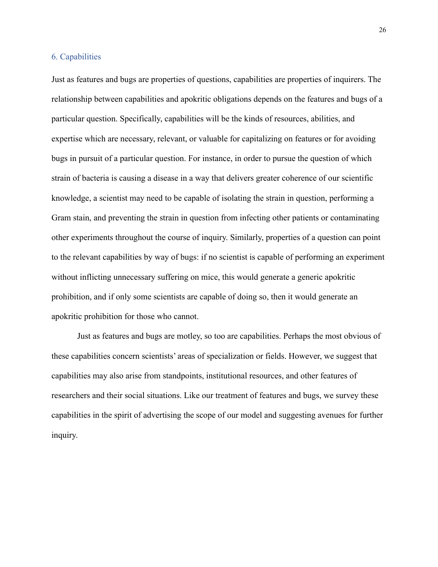## 6. Capabilities

Just as features and bugs are properties of questions, capabilities are properties of inquirers. The relationship between capabilities and apokritic obligations depends on the features and bugs of a particular question. Specifically, capabilities will be the kinds of resources, abilities, and expertise which are necessary, relevant, or valuable for capitalizing on features or for avoiding bugs in pursuit of a particular question. For instance, in order to pursue the question of which strain of bacteria is causing a disease in a way that delivers greater coherence of our scientific knowledge, a scientist may need to be capable of isolating the strain in question, performing a Gram stain, and preventing the strain in question from infecting other patients or contaminating other experiments throughout the course of inquiry. Similarly, properties of a question can point to the relevant capabilities by way of bugs: if no scientist is capable of performing an experiment without inflicting unnecessary suffering on mice, this would generate a generic apokritic prohibition, and if only some scientists are capable of doing so, then it would generate an apokritic prohibition for those who cannot.

Just as features and bugs are motley, so too are capabilities. Perhaps the most obvious of these capabilities concern scientists' areas of specialization or fields. However, we suggest that capabilities may also arise from standpoints, institutional resources, and other features of researchers and their social situations. Like our treatment of features and bugs, we survey these capabilities in the spirit of advertising the scope of our model and suggesting avenues for further inquiry.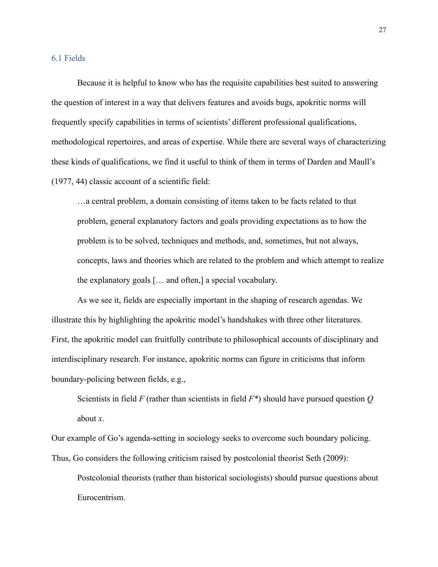### 6.1 Fields

Because it is helpful to know who has the requisite capabilities best suited to answering the question of interest in a way that delivers features and avoids bugs, apokritic norms will frequently specify capabilities in terms of scientists' different professional qualifications, methodological repertoires, and areas of expertise. While there are several ways of characterizing these kinds of qualifications, we find it useful to think of them in terms of Darden and Maull's (1977, 44) classic account of a scientific field:

…a central problem, a domain consisting of items taken to be facts related to that problem, general explanatory factors and goals providing expectations as to how the problem is to be solved, techniques and methods, and, sometimes, but not always, concepts, laws and theories which are related to the problem and which attempt to realize the explanatory goals [… and often,] a special vocabulary.

As we see it, fields are especially important in the shaping of research agendas. We illustrate this by highlighting the apokritic model's handshakes with three other literatures. First, the apokritic model can fruitfully contribute to philosophical accounts of disciplinary and interdisciplinary research. For instance, apokritic norms can figure in criticisms that inform boundary-policing between fields, e.g.,

Scientists in field *F* (rather than scientists in field *F\**) should have pursued question *Q* about *x*.

Our example of Go's agenda-setting in sociology seeks to overcome such boundary policing. Thus, Go considers the following criticism raised by postcolonial theorist Seth (2009):

Postcolonial theorists (rather than historical sociologists) should pursue questions about Eurocentrism.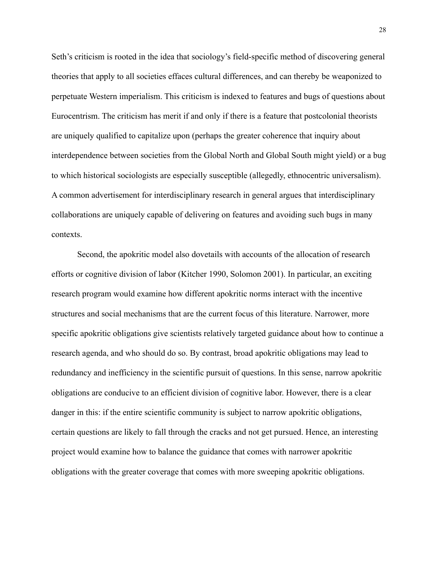Seth's criticism is rooted in the idea that sociology's field-specific method of discovering general theories that apply to all societies effaces cultural differences, and can thereby be weaponized to perpetuate Western imperialism. This criticism is indexed to features and bugs of questions about Eurocentrism. The criticism has merit if and only if there is a feature that postcolonial theorists are uniquely qualified to capitalize upon (perhaps the greater coherence that inquiry about interdependence between societies from the Global North and Global South might yield) or a bug to which historical sociologists are especially susceptible (allegedly, ethnocentric universalism). A common advertisement for interdisciplinary research in general argues that interdisciplinary collaborations are uniquely capable of delivering on features and avoiding such bugs in many contexts.

Second, the apokritic model also dovetails with accounts of the allocation of research efforts or cognitive division of labor (Kitcher 1990, Solomon 2001). In particular, an exciting research program would examine how different apokritic norms interact with the incentive structures and social mechanisms that are the current focus of this literature. Narrower, more specific apokritic obligations give scientists relatively targeted guidance about how to continue a research agenda, and who should do so. By contrast, broad apokritic obligations may lead to redundancy and inefficiency in the scientific pursuit of questions. In this sense, narrow apokritic obligations are conducive to an efficient division of cognitive labor. However, there is a clear danger in this: if the entire scientific community is subject to narrow apokritic obligations, certain questions are likely to fall through the cracks and not get pursued. Hence, an interesting project would examine how to balance the guidance that comes with narrower apokritic obligations with the greater coverage that comes with more sweeping apokritic obligations.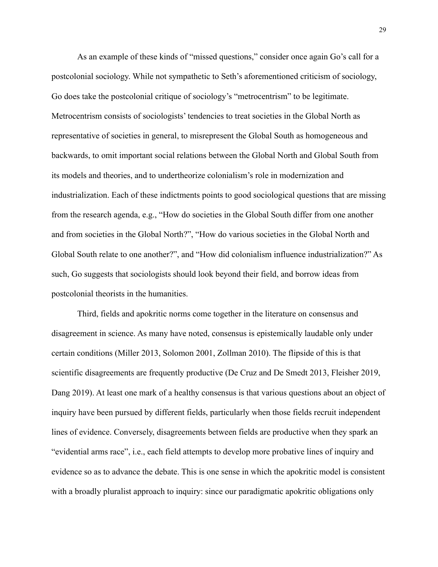As an example of these kinds of "missed questions," consider once again Go's call for a postcolonial sociology. While not sympathetic to Seth's aforementioned criticism of sociology, Go does take the postcolonial critique of sociology's "metrocentrism" to be legitimate. Metrocentrism consists of sociologists' tendencies to treat societies in the Global North as representative of societies in general, to misrepresent the Global South as homogeneous and backwards, to omit important social relations between the Global North and Global South from its models and theories, and to undertheorize colonialism's role in modernization and industrialization. Each of these indictments points to good sociological questions that are missing from the research agenda, e.g., "How do societies in the Global South differ from one another and from societies in the Global North?", "How do various societies in the Global North and Global South relate to one another?", and "How did colonialism influence industrialization?" As such, Go suggests that sociologists should look beyond their field, and borrow ideas from postcolonial theorists in the humanities.

Third, fields and apokritic norms come together in the literature on consensus and disagreement in science. As many have noted, consensus is epistemically laudable only under certain conditions (Miller 2013, Solomon 2001, Zollman 2010). The flipside of this is that scientific disagreements are frequently productive (De Cruz and De Smedt 2013, Fleisher 2019, Dang 2019). At least one mark of a healthy consensus is that various questions about an object of inquiry have been pursued by different fields, particularly when those fields recruit independent lines of evidence. Conversely, disagreements between fields are productive when they spark an "evidential arms race", i.e., each field attempts to develop more probative lines of inquiry and evidence so as to advance the debate. This is one sense in which the apokritic model is consistent with a broadly pluralist approach to inquiry: since our paradigmatic apokritic obligations only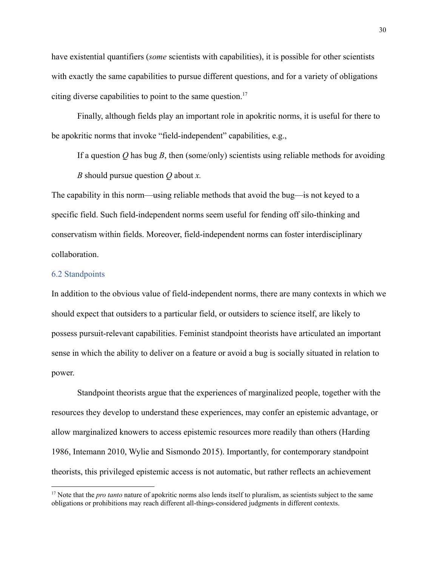have existential quantifiers (*some* scientists with capabilities), it is possible for other scientists with exactly the same capabilities to pursue different questions, and for a variety of obligations citing diverse capabilities to point to the same question.<sup>17</sup>

Finally, although fields play an important role in apokritic norms, it is useful for there to be apokritic norms that invoke "field-independent" capabilities, e.g.,

If a question *Q* has bug *B*, then (some/only) scientists using reliable methods for avoiding *B* should pursue question *Q* about *x.*

The capability in this norm—using reliable methods that avoid the bug—is not keyed to a specific field. Such field-independent norms seem useful for fending off silo-thinking and conservatism within fields. Moreover, field-independent norms can foster interdisciplinary collaboration.

#### 6.2 Standpoints

In addition to the obvious value of field-independent norms, there are many contexts in which we should expect that outsiders to a particular field, or outsiders to science itself, are likely to possess pursuit-relevant capabilities. Feminist standpoint theorists have articulated an important sense in which the ability to deliver on a feature or avoid a bug is socially situated in relation to power.

Standpoint theorists argue that the experiences of marginalized people, together with the resources they develop to understand these experiences, may confer an epistemic advantage, or allow marginalized knowers to access epistemic resources more readily than others (Harding 1986, Intemann 2010, Wylie and Sismondo 2015). Importantly, for contemporary standpoint theorists, this privileged epistemic access is not automatic, but rather reflects an achievement

<sup>&</sup>lt;sup>17</sup> Note that the *pro tanto* nature of apokritic norms also lends itself to pluralism, as scientists subject to the same obligations or prohibitions may reach different all-things-considered judgments in different contexts.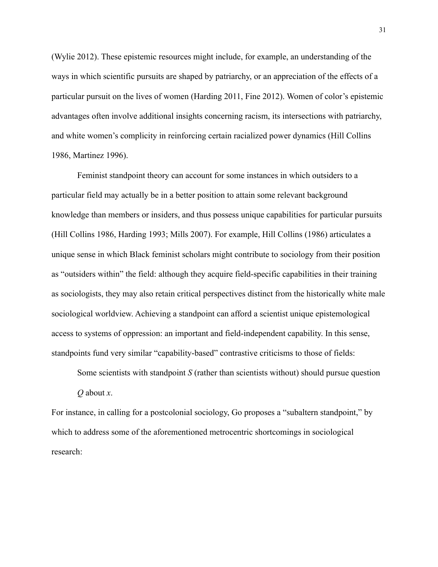(Wylie 2012). These epistemic resources might include, for example, an understanding of the ways in which scientific pursuits are shaped by patriarchy, or an appreciation of the effects of a particular pursuit on the lives of women (Harding 2011, Fine 2012). Women of color's epistemic advantages often involve additional insights concerning racism, its intersections with patriarchy, and white women's complicity in reinforcing certain racialized power dynamics (Hill Collins 1986, Martinez 1996).

Feminist standpoint theory can account for some instances in which outsiders to a particular field may actually be in a better position to attain some relevant background knowledge than members or insiders, and thus possess unique capabilities for particular pursuits (Hill Collins 1986, Harding 1993; Mills 2007). For example, Hill Collins (1986) articulates a unique sense in which Black feminist scholars might contribute to sociology from their position as "outsiders within" the field: although they acquire field-specific capabilities in their training as sociologists, they may also retain critical perspectives distinct from the historically white male sociological worldview. Achieving a standpoint can afford a scientist unique epistemological access to systems of oppression: an important and field-independent capability. In this sense, standpoints fund very similar "capability-based" contrastive criticisms to those of fields:

Some scientists with standpoint *S* (rather than scientists without) should pursue question *Q* about *x*.

For instance, in calling for a postcolonial sociology, Go proposes a "subaltern standpoint," by which to address some of the aforementioned metrocentric shortcomings in sociological research: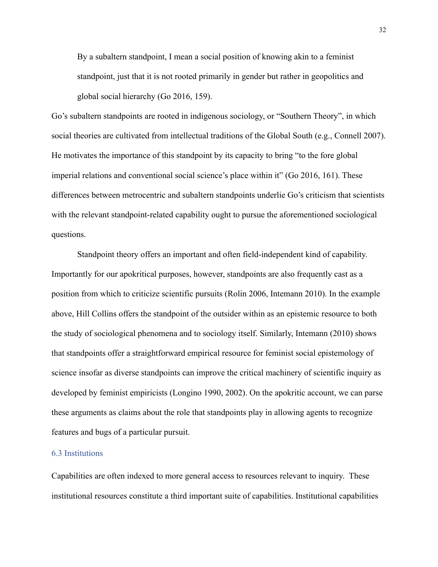By a subaltern standpoint, I mean a social position of knowing akin to a feminist standpoint, just that it is not rooted primarily in gender but rather in geopolitics and global social hierarchy (Go 2016, 159).

Go's subaltern standpoints are rooted in indigenous sociology, or "Southern Theory", in which social theories are cultivated from intellectual traditions of the Global South (e.g., Connell 2007). He motivates the importance of this standpoint by its capacity to bring "to the fore global imperial relations and conventional social science's place within it" (Go 2016, 161). These differences between metrocentric and subaltern standpoints underlie Go's criticism that scientists with the relevant standpoint-related capability ought to pursue the aforementioned sociological questions.

Standpoint theory offers an important and often field-independent kind of capability. Importantly for our apokritical purposes, however, standpoints are also frequently cast as a position from which to criticize scientific pursuits (Rolin 2006, Intemann 2010). In the example above, Hill Collins offers the standpoint of the outsider within as an epistemic resource to both the study of sociological phenomena and to sociology itself. Similarly, Intemann (2010) shows that standpoints offer a straightforward empirical resource for feminist social epistemology of science insofar as diverse standpoints can improve the critical machinery of scientific inquiry as developed by feminist empiricists (Longino 1990, 2002). On the apokritic account, we can parse these arguments as claims about the role that standpoints play in allowing agents to recognize features and bugs of a particular pursuit.

## 6.3 Institutions

Capabilities are often indexed to more general access to resources relevant to inquiry. These institutional resources constitute a third important suite of capabilities. Institutional capabilities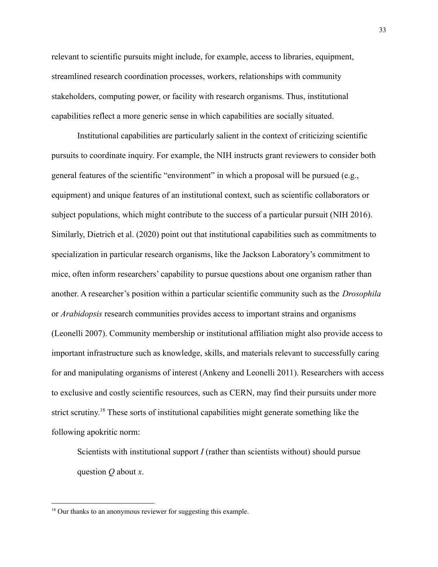relevant to scientific pursuits might include, for example, access to libraries, equipment, streamlined research coordination processes, workers, relationships with community stakeholders, computing power, or facility with research organisms. Thus, institutional capabilities reflect a more generic sense in which capabilities are socially situated.

Institutional capabilities are particularly salient in the context of criticizing scientific pursuits to coordinate inquiry. For example, the NIH instructs grant reviewers to consider both general features of the scientific "environment" in which a proposal will be pursued (e.g., equipment) and unique features of an institutional context, such as scientific collaborators or subject populations, which might contribute to the success of a particular pursuit (NIH 2016). Similarly, Dietrich et al. (2020) point out that institutional capabilities such as commitments to specialization in particular research organisms, like the Jackson Laboratory's commitment to mice, often inform researchers' capability to pursue questions about one organism rather than another. A researcher's position within a particular scientific community such as the *Drosophila* or *Arabidopsis* research communities provides access to important strains and organisms (Leonelli 2007). Community membership or institutional affiliation might also provide access to important infrastructure such as knowledge, skills, and materials relevant to successfully caring for and manipulating organisms of interest (Ankeny and Leonelli 2011). Researchers with access to exclusive and costly scientific resources, such as CERN, may find their pursuits under more strict scrutiny.<sup>18</sup> These sorts of institutional capabilities might generate something like the following apokritic norm:

Scientists with institutional support *I* (rather than scientists without) should pursue question *Q* about *x*.

<sup>&</sup>lt;sup>18</sup> Our thanks to an anonymous reviewer for suggesting this example.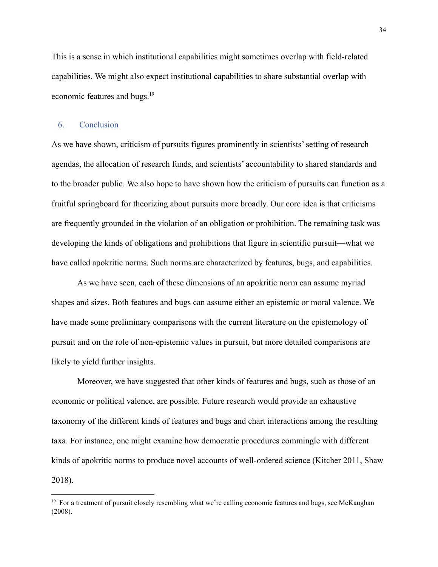This is a sense in which institutional capabilities might sometimes overlap with field-related capabilities. We might also expect institutional capabilities to share substantial overlap with economic features and bugs.<sup>19</sup>

### 6. Conclusion

As we have shown, criticism of pursuits figures prominently in scientists' setting of research agendas, the allocation of research funds, and scientists' accountability to shared standards and to the broader public. We also hope to have shown how the criticism of pursuits can function as a fruitful springboard for theorizing about pursuits more broadly. Our core idea is that criticisms are frequently grounded in the violation of an obligation or prohibition. The remaining task was developing the kinds of obligations and prohibitions that figure in scientific pursuit—what we have called apokritic norms. Such norms are characterized by features, bugs, and capabilities.

As we have seen, each of these dimensions of an apokritic norm can assume myriad shapes and sizes. Both features and bugs can assume either an epistemic or moral valence. We have made some preliminary comparisons with the current literature on the epistemology of pursuit and on the role of non-epistemic values in pursuit, but more detailed comparisons are likely to yield further insights.

Moreover, we have suggested that other kinds of features and bugs, such as those of an economic or political valence, are possible. Future research would provide an exhaustive taxonomy of the different kinds of features and bugs and chart interactions among the resulting taxa. For instance, one might examine how democratic procedures commingle with different kinds of apokritic norms to produce novel accounts of well-ordered science (Kitcher 2011, Shaw 2018).

<sup>&</sup>lt;sup>19</sup> For a treatment of pursuit closely resembling what we're calling economic features and bugs, see McKaughan (2008).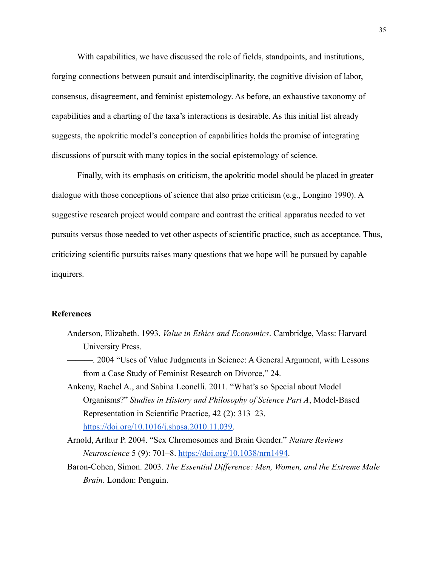With capabilities, we have discussed the role of fields, standpoints, and institutions, forging connections between pursuit and interdisciplinarity, the cognitive division of labor, consensus, disagreement, and feminist epistemology. As before, an exhaustive taxonomy of capabilities and a charting of the taxa's interactions is desirable. As this initial list already suggests, the apokritic model's conception of capabilities holds the promise of integrating discussions of pursuit with many topics in the social epistemology of science.

Finally, with its emphasis on criticism, the apokritic model should be placed in greater dialogue with those conceptions of science that also prize criticism (e.g., Longino 1990). A suggestive research project would compare and contrast the critical apparatus needed to vet pursuits versus those needed to vet other aspects of scientific practice, such as acceptance. Thus, criticizing scientific pursuits raises many questions that we hope will be pursued by capable inquirers.

#### **References**

- Anderson, Elizabeth. 1993. *Value in Ethics and Economics*. Cambridge, Mass: Harvard University Press.
- ———. 2004 "Uses of Value Judgments in Science: A General Argument, with Lessons from a Case Study of Feminist Research on Divorce," 24.
- Ankeny, Rachel A., and Sabina Leonelli. 2011. "What's so Special about Model Organisms?" *Studies in History and Philosophy of Science Part A*, Model-Based Representation in Scientific Practice, 42 (2): 313–23. [https://doi.org/10.1016/j.shpsa.2010.11.039.](https://doi.org/10.1016/j.shpsa.2010.11.039)
- Arnold, Arthur P. 2004. "Sex Chromosomes and Brain Gender." *Nature Reviews Neuroscience* 5 (9): 701–8. [https://doi.org/10.1038/nrn1494.](https://doi.org/10.1038/nrn1494)
- Baron-Cohen, Simon. 2003. *The Essential Difference: Men, Women, and the Extreme Male Brain*. London: Penguin.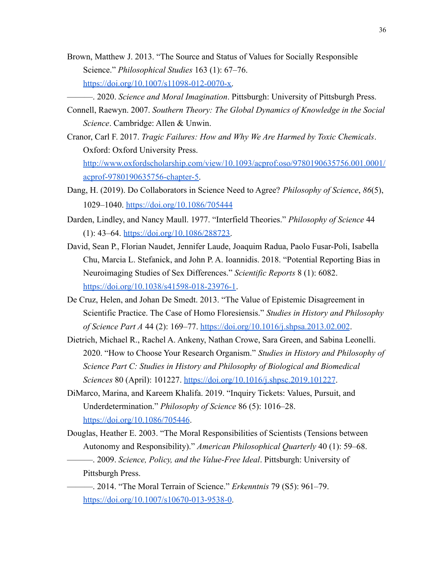- Brown, Matthew J. 2013. "The Source and Status of Values for Socially Responsible Science." *Philosophical Studies* 163 (1): 67–76. [https://doi.org/10.1007/s11098-012-0070-x.](https://doi.org/10.1007/s11098-012-0070-x)
- ———. 2020. *Science and Moral Imagination*. Pittsburgh: University of Pittsburgh Press.
- Connell, Raewyn. 2007. *Southern Theory: The Global Dynamics of Knowledge in the Social Science*. Cambridge: Allen & Unwin.
- Cranor, Carl F. 2017. *Tragic Failures: How and Why We Are Harmed by Toxic Chemicals*. Oxford: Oxford University Press.

[http://www.oxfordscholarship.com/view/10.1093/acprof:oso/9780190635756.001.0001/](http://www.oxfordscholarship.com/view/10.1093/acprof:oso/9780190635756.001.0001/acprof-9780190635756-chapter-5) [acprof-9780190635756-chapter-5.](http://www.oxfordscholarship.com/view/10.1093/acprof:oso/9780190635756.001.0001/acprof-9780190635756-chapter-5)

- Dang, H. (2019). Do Collaborators in Science Need to Agree? *Philosophy of Science*, *86*(5), 1029–1040. <https://doi.org/10.1086/705444>
- Darden, Lindley, and Nancy Maull. 1977. "Interfield Theories." *Philosophy of Science* 44 (1): 43–64. [https://doi.org/10.1086/288723.](https://doi.org/10.1086/288723)
- David, Sean P., Florian Naudet, Jennifer Laude, Joaquim Radua, Paolo Fusar-Poli, Isabella Chu, Marcia L. Stefanick, and John P. A. Ioannidis. 2018. "Potential Reporting Bias in Neuroimaging Studies of Sex Differences." *Scientific Reports* 8 (1): 6082[.](https://doi.org/10.1038/s41598-018-23976-1) <https://doi.org/10.1038/s41598-018-23976-1>.
- De Cruz, Helen, and Johan De Smedt. 2013. "The Value of Epistemic Disagreement in Scientific Practice. The Case of Homo Floresiensis." *Studies in History and Philosophy of Science Part A* 44 (2): 169–77. <https://doi.org/10.1016/j.shpsa.2013.02.002>.
- Dietrich, Michael R., Rachel A. Ankeny, Nathan Crowe, Sara Green, and Sabina Leonelli. 2020. "How to Choose Your Research Organism." *Studies in History and Philosophy of Science Part C: Studies in History and Philosophy of Biological and Biomedical Sciences* 80 (April): 101227. <https://doi.org/10.1016/j.shpsc.2019.101227>.
- DiMarco, Marina, and Kareem Khalifa. 2019. "Inquiry Tickets: Values, Pursuit, and Underdetermination." *Philosophy of Science* 86 (5): 1016–28. <https://doi.org/10.1086/705446>.
- Douglas, Heather E. 2003. "The Moral Responsibilities of Scientists (Tensions between Autonomy and Responsibility)." *American Philosophical Quarterly* 40 (1): 59–68.
	- ———. 2009. *Science, Policy, and the Value-Free Ideal*. Pittsburgh: University of Pittsburgh Press.
	- ———. 2014. "The Moral Terrain of Science." *Erkenntnis* 79 (S5): 961–79[.](https://doi.org/10.1007/s10670-013-9538-0) <https://doi.org/10.1007/s10670-013-9538-0>.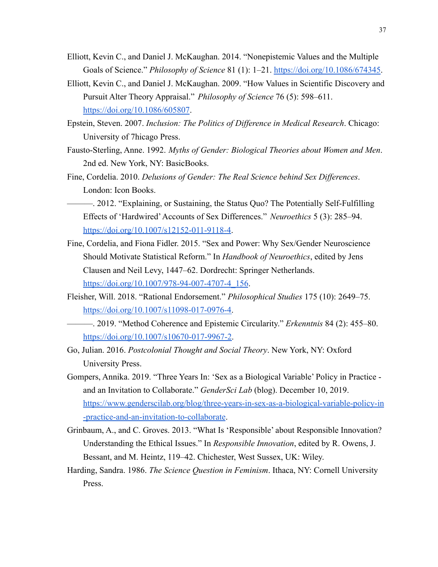- Elliott, Kevin C., and Daniel J. McKaughan. 2014. "Nonepistemic Values and the Multiple Goals of Science." *Philosophy of Science* 81 (1): 1–21. <https://doi.org/10.1086/674345>.
- Elliott, Kevin C., and Daniel J. McKaughan. 2009. "How Values in Scientific Discovery and Pursuit Alter Theory Appraisal." *Philosophy of Science* 76 (5): 598–611[.](https://doi.org/10.1086/605807) <https://doi.org/10.1086/605807>.
- Epstein, Steven. 2007. *Inclusion: The Politics of Difference in Medical Research*. Chicago: University of 7hicago Press.
- Fausto-Sterling, Anne. 1992. *Myths of Gender: Biological Theories about Women and Men*. 2nd ed. New York, NY: BasicBooks.
- Fine, Cordelia. 2010. *Delusions of Gender: The Real Science behind Sex Differences*. London: Icon Books.
- ———. 2012. "Explaining, or Sustaining, the Status Quo? The Potentially Self-Fulfilling Effects of 'Hardwired'Accounts of Sex Differences." *Neuroethics* 5 (3): 285–94. <https://doi.org/10.1007/s12152-011-9118-4>.
- Fine, Cordelia, and Fiona Fidler. 2015. "Sex and Power: Why Sex/Gender Neuroscience Should Motivate Statistical Reform." In *Handbook of Neuroethics*, edited by Jens Clausen and Neil Levy, 1447–62. Dordrecht: Springer Netherlands. [https://doi.org/10.1007/978-94-007-4707-4\\_156](https://doi.org/10.1007/978-94-007-4707-4_156).
- Fleisher, Will. 2018. "Rational Endorsement." *Philosophical Studies* 175 (10): 2649–75[.](https://doi.org/10.1007/s11098-017-0976-4) [https://doi.org/10.1007/s11098-017-0976-4.](https://doi.org/10.1007/s11098-017-0976-4)
- ———. 2019. "Method Coherence and Epistemic Circularity." *Erkenntnis* 84 (2): 455–80. <https://doi.org/10.1007/s10670-017-9967-2>.
- Go, Julian. 2016. *Postcolonial Thought and Social Theory*. New York, NY: Oxford University Press.
- Gompers, Annika. 2019. "Three Years In: 'Sex as a Biological Variable' Policy in Practice and an Invitation to Collaborate." *GenderSci Lab* (blog). December 10, 2019[.](https://www.genderscilab.org/blog/three-years-in-sex-as-a-biological-variable-policy-in-practice-and-an-invitation-to-collaborate) [https://www.genderscilab.org/blog/three-years-in-sex-as-a-biological-variable-policy-in](https://www.genderscilab.org/blog/three-years-in-sex-as-a-biological-variable-policy-in-practice-and-an-invitation-to-collaborate) [-practice-and-an-invitation-to-collaborate](https://www.genderscilab.org/blog/three-years-in-sex-as-a-biological-variable-policy-in-practice-and-an-invitation-to-collaborate).
- Grinbaum, A., and C. Groves. 2013. "What Is 'Responsible' about Responsible Innovation? Understanding the Ethical Issues." In *Responsible Innovation*, edited by R. Owens, J. Bessant, and M. Heintz, 119–42. Chichester, West Sussex, UK: Wiley.
- Harding, Sandra. 1986. *The Science Question in Feminism*. Ithaca, NY: Cornell University Press.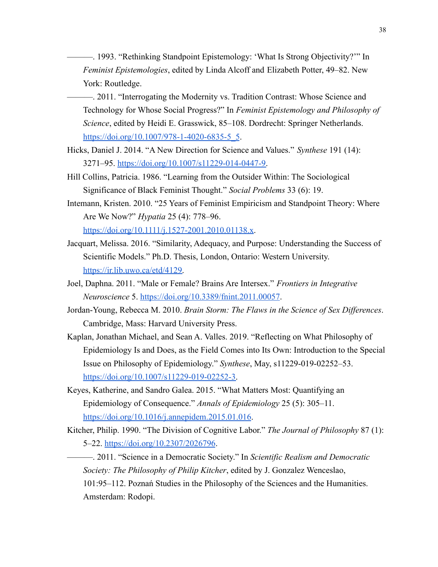———. 1993. "Rethinking Standpoint Epistemology: 'What Is Strong Objectivity?'" In *Feminist Epistemologies*, edited by Linda Alcoff and Elizabeth Potter, 49–82. New York: Routledge.

———. 2011. "Interrogating the Modernity vs. Tradition Contrast: Whose Science and Technology for Whose Social Progress?" In *Feminist Epistemology and Philosophy of Science*, edited by Heidi E. Grasswick, 85–108. Dordrecht: Springer Netherlands[.](https://doi.org/10.1007/978-1-4020-6835-5_5) [https://doi.org/10.1007/978-1-4020-6835-5\\_5](https://doi.org/10.1007/978-1-4020-6835-5_5).

- Hicks, Daniel J. 2014. "A New Direction for Science and Values." *Synthese* 191 (14): 3271–95. [https://doi.org/10.1007/s11229-014-0447-9.](https://doi.org/10.1007/s11229-014-0447-9)
- Hill Collins, Patricia. 1986. "Learning from the Outsider Within: The Sociological Significance of Black Feminist Thought." *Social Problems* 33 (6): 19.
- Intemann, Kristen. 2010. "25 Years of Feminist Empiricism and Standpoint Theory: Where Are We Now?" *Hypatia* 25 (4): 778–96.

[https://doi.org/10.1111/j.1527-2001.2010.01138.x.](https://doi.org/10.1111/j.1527-2001.2010.01138.x)

- Jacquart, Melissa. 2016. "Similarity, Adequacy, and Purpose: Understanding the Success of Scientific Models." Ph.D. Thesis, London, Ontario: Western University[.](https://ir.lib.uwo.ca/etd/4129) [https://ir.lib.uwo.ca/etd/4129.](https://ir.lib.uwo.ca/etd/4129)
- Joel, Daphna. 2011. "Male or Female? Brains Are Intersex." *Frontiers in Integrative Neuroscience* 5. <https://doi.org/10.3389/fnint.2011.00057>.
- Jordan-Young, Rebecca M. 2010. *Brain Storm: The Flaws in the Science of Sex Differences*. Cambridge, Mass: Harvard University Press.
- Kaplan, Jonathan Michael, and Sean A. Valles. 2019. "Reflecting on What Philosophy of Epidemiology Is and Does, as the Field Comes into Its Own: Introduction to the Special Issue on Philosophy of Epidemiology." *Synthese*, May, s11229-019-02252–53. [https://doi.org/10.1007/s11229-019-02252-3.](https://doi.org/10.1007/s11229-019-02252-3)
- Keyes, Katherine, and Sandro Galea. 2015. "What Matters Most: Quantifying an Epidemiology of Consequence." *Annals of Epidemiology* 25 (5): 305–11. <https://doi.org/10.1016/j.annepidem.2015.01.016>.
- Kitcher, Philip. 1990. "The Division of Cognitive Labor." *The Journal of Philosophy* 87 (1): 5–22. <https://doi.org/10.2307/2026796>.

———. 2011. "Science in a Democratic Society." In *Scientific Realism and Democratic Society: The Philosophy of Philip Kitcher*, edited by J. Gonzalez Wenceslao, 101:95–112. Poznań Studies in the Philosophy of the Sciences and the Humanities. Amsterdam: Rodopi.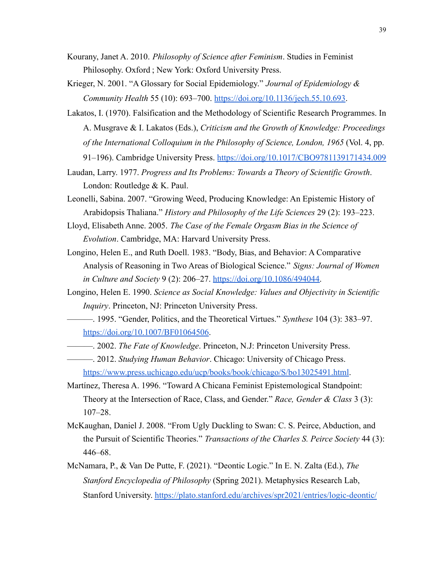- Kourany, Janet A. 2010. *Philosophy of Science after Feminism*. Studies in Feminist Philosophy. Oxford ; New York: Oxford University Press.
- Krieger, N. 2001. "A Glossary for Social Epidemiology." *Journal of Epidemiology & Community Health* 55 (10): 693–700. <https://doi.org/10.1136/jech.55.10.693>.
- Lakatos, I. (1970). Falsification and the Methodology of Scientific Research Programmes. In A. Musgrave & I. Lakatos (Eds.), *Criticism and the Growth of Knowledge: Proceedings of the International Colloquium in the Philosophy of Science, London, 1965* (Vol. 4, pp. 91–196). Cambridge University Press. <https://doi.org/10.1017/CBO9781139171434.009>
- Laudan, Larry. 1977. *Progress and Its Problems: Towards a Theory of Scientific Growth*. London: Routledge & K. Paul.
- Leonelli, Sabina. 2007. "Growing Weed, Producing Knowledge: An Epistemic History of Arabidopsis Thaliana." *History and Philosophy of the Life Sciences* 29 (2): 193–223.
- Lloyd, Elisabeth Anne. 2005. *The Case of the Female Orgasm Bias in the Science of Evolution*. Cambridge, MA: Harvard University Press.
- Longino, Helen E., and Ruth Doell. 1983. "Body, Bias, and Behavior: A Comparative Analysis of Reasoning in Two Areas of Biological Science." *Signs: Journal of Women in Culture and Society* 9 (2): 206–27. [https://doi.org/10.1086/494044.](https://doi.org/10.1086/494044)
- Longino, Helen E. 1990. *Science as Social Knowledge: Values and Objectivity in Scientific Inquiry*. Princeton, NJ: Princeton University Press.
- ———. 1995. "Gender, Politics, and the Theoretical Virtues." *Synthese* 104 (3): 383–97. <https://doi.org/10.1007/BF01064506>.
- ———. 2002. *The Fate of Knowledge*. Princeton, N.J: Princeton University Press.
- ———. 2012. *Studying Human Behavior*. Chicago: University of Chicago Press[.](https://www.press.uchicago.edu/ucp/books/book/chicago/S/bo13025491.html) <https://www.press.uchicago.edu/ucp/books/book/chicago/S/bo13025491.html>.
- Martínez, Theresa A. 1996. "Toward A Chicana Feminist Epistemological Standpoint: Theory at the Intersection of Race, Class, and Gender." *Race, Gender & Class* 3 (3): 107–28.
- McKaughan, Daniel J. 2008. "From Ugly Duckling to Swan: C. S. Peirce, Abduction, and the Pursuit of Scientific Theories." *Transactions of the Charles S. Peirce Society* 44 (3): 446–68.
- McNamara, P., & Van De Putte, F. (2021). "Deontic Logic." In E. N. Zalta (Ed.), *The Stanford Encyclopedia of Philosophy* (Spring 2021). Metaphysics Research Lab, Stanford University. <https://plato.stanford.edu/archives/spr2021/entries/logic-deontic/>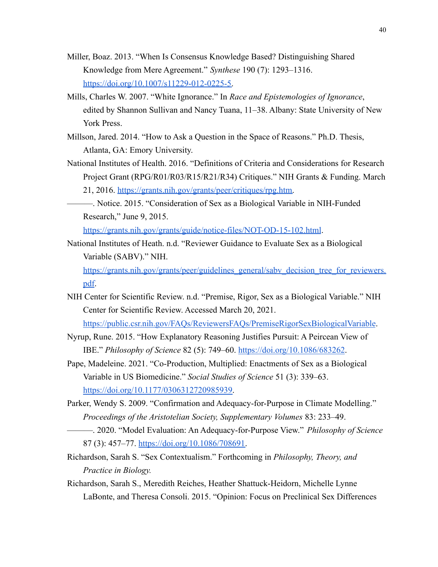- Miller, Boaz. 2013. "When Is Consensus Knowledge Based? Distinguishing Shared Knowledge from Mere Agreement." *Synthese* 190 (7): 1293–1316[.](https://doi.org/10.1007/s11229-012-0225-5) [https://doi.org/10.1007/s11229-012-0225-5.](https://doi.org/10.1007/s11229-012-0225-5)
- Mills, Charles W. 2007. "White Ignorance." In *Race and Epistemologies of Ignorance*, edited by Shannon Sullivan and Nancy Tuana, 11–38. Albany: State University of New York Press.
- Millson, Jared. 2014. "How to Ask a Question in the Space of Reasons." Ph.D. Thesis, Atlanta, GA: Emory University.
- National Institutes of Health. 2016. "Definitions of Criteria and Considerations for Research Project Grant (RPG/R01/R03/R15/R21/R34) Critiques." NIH Grants & Funding. March 21, 2016. [https://grants.nih.gov/grants/peer/critiques/rpg.htm.](https://grants.nih.gov/grants/peer/critiques/rpg.htm)
	- ———. Notice. 2015. "Consideration of Sex as a Biological Variable in NIH-Funded Research," June 9, 2015.

<https://grants.nih.gov/grants/guide/notice-files/NOT-OD-15-102.html>.

National Institutes of Heath. n.d. "Reviewer Guidance to Evaluate Sex as a Biological Variable (SABV)." NIH.

[https://grants.nih.gov/grants/peer/guidelines\\_general/sabv\\_decision\\_tree\\_for\\_reviewers.](https://grants.nih.gov/grants/peer/guidelines_general/sabv_decision_tree_for_reviewers.pdf) [pdf](https://grants.nih.gov/grants/peer/guidelines_general/sabv_decision_tree_for_reviewers.pdf).

NIH Center for Scientific Review. n.d. "Premise, Rigor, Sex as a Biological Variable." NIH Center for Scientific Review. Accessed March 20, 2021.

<https://public.csr.nih.gov/FAQs/ReviewersFAQs/PremiseRigorSexBiologicalVariable>.

- Nyrup, Rune. 2015. "How Explanatory Reasoning Justifies Pursuit: A Peircean View of IBE." *Philosophy of Science* 82 (5): 749–60. <https://doi.org/10.1086/683262>.
- Pape, Madeleine. 2021. "Co-Production, Multiplied: Enactments of Sex as a Biological Variable in US Biomedicine." *Social Studies of Science* 51 (3): 339–63. [https://doi.org/10.1177/0306312720985939.](https://doi.org/10.1177/0306312720985939)
- Parker, Wendy S. 2009. "Confirmation and Adequacy-for-Purpose in Climate Modelling." *Proceedings of the Aristotelian Society, Supplementary Volumes* 83: 233–49.
- ———. 2020. "Model Evaluation: An Adequacy-for-Purpose View." *Philosophy of Science* 87 (3): 457–77. [https://doi.org/10.1086/708691.](https://doi.org/10.1086/708691)
- Richardson, Sarah S. "Sex Contextualism." Forthcoming in *Philosophy, Theory, and Practice in Biology.*
- Richardson, Sarah S., Meredith Reiches, Heather Shattuck-Heidorn, Michelle Lynne LaBonte, and Theresa Consoli. 2015. "Opinion: Focus on Preclinical Sex Differences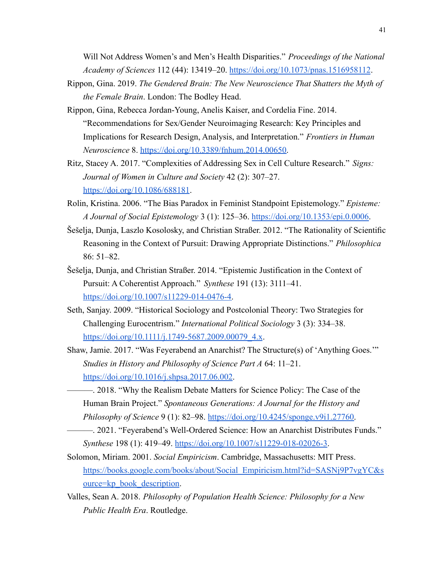Will Not Address Women's and Men's Health Disparities." *Proceedings of the National Academy of Sciences* 112 (44): 13419–20. <https://doi.org/10.1073/pnas.1516958112>.

- Rippon, Gina. 2019. *The Gendered Brain: The New Neuroscience That Shatters the Myth of the Female Brain*. London: The Bodley Head.
- Rippon, Gina, Rebecca Jordan-Young, Anelis Kaiser, and Cordelia Fine. 2014. "Recommendations for Sex/Gender Neuroimaging Research: Key Principles and Implications for Research Design, Analysis, and Interpretation." *Frontiers in Human Neuroscience* 8. [https://doi.org/10.3389/fnhum.2014.00650.](https://doi.org/10.3389/fnhum.2014.00650)
- Ritz, Stacey A. 2017. "Complexities of Addressing Sex in Cell Culture Research." *Signs: Journal of Women in Culture and Society* 42 (2): 307–27[.](https://doi.org/10.1086/688181) <https://doi.org/10.1086/688181>.
- Rolin, Kristina. 2006. "The Bias Paradox in Feminist Standpoint Epistemology." *Episteme: A Journal of Social Epistemology* 3 (1): 125–36. [https://doi.org/10.1353/epi.0.0006.](https://doi.org/10.1353/epi.0.0006)
- Šešelja, Dunja, Laszlo Kosolosky, and Christian Straßer. 2012. "The Rationality of Scientific Reasoning in the Context of Pursuit: Drawing Appropriate Distinctions." *Philosophica* 86: 51–82.
- Šešelja, Dunja, and Christian Straßer. 2014. "Epistemic Justification in the Context of Pursuit: A Coherentist Approach." *Synthese* 191 (13): 3111–41. [https://doi.org/10.1007/s11229-014-0476-4.](https://doi.org/10.1007/s11229-014-0476-4)
- Seth, Sanjay. 2009. "Historical Sociology and Postcolonial Theory: Two Strategies for Challenging Eurocentrism." *International Political Sociology* 3 (3): 334–38[.](https://doi.org/10.1111/j.1749-5687.2009.00079_4.x) [https://doi.org/10.1111/j.1749-5687.2009.00079\\_4.x](https://doi.org/10.1111/j.1749-5687.2009.00079_4.x).
- Shaw, Jamie. 2017. "Was Feyerabend an Anarchist? The Structure(s) of 'Anything Goes.'" *Studies in History and Philosophy of Science Part A* 64: 11–21. <https://doi.org/10.1016/j.shpsa.2017.06.002>.
	- ———. 2018. "Why the Realism Debate Matters for Science Policy: The Case of the Human Brain Project." *Spontaneous Generations: A Journal for the History and Philosophy of Science* 9 (1): 82–98. [https://doi.org/10.4245/sponge.v9i1.27760.](https://doi.org/10.4245/sponge.v9i1.27760)
- ———. 2021. "Feyerabend's Well-Ordered Science: How an Anarchist Distributes Funds." *Synthese* 198 (1): 419–49. [https://doi.org/10.1007/s11229-018-02026-3.](https://doi.org/10.1007/s11229-018-02026-3)
- Solomon, Miriam. 2001. *Social Empiricism*. Cambridge, Massachusetts: MIT Press. [https://books.google.com/books/about/Social\\_Empiricism.html?id=SASNj9P7vgYC&s](https://books.google.com/books/about/Social_Empiricism.html?id=SASNj9P7vgYC&source=kp_book_description) [ource=kp\\_book\\_description.](https://books.google.com/books/about/Social_Empiricism.html?id=SASNj9P7vgYC&source=kp_book_description)
- Valles, Sean A. 2018. *Philosophy of Population Health Science: Philosophy for a New Public Health Era*. Routledge.